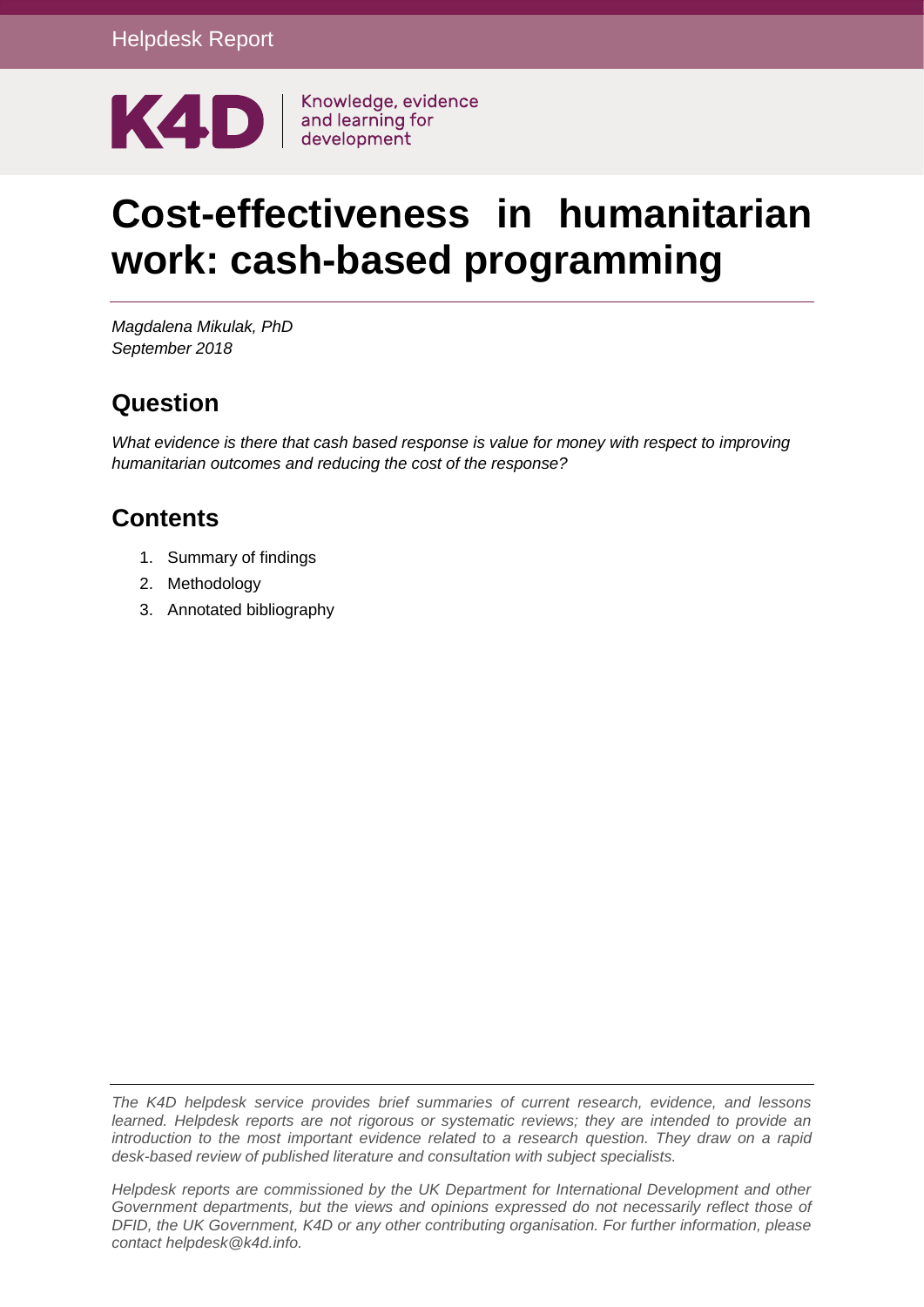

# **Cost-effectiveness in humanitarian work: cash-based programming**

*Magdalena Mikulak, PhD September 2018*

### **Question**

*What evidence is there that cash based response is value for money with respect to improving humanitarian outcomes and reducing the cost of the response?*

## **Contents**

- 1. Summary of findings
- 2. Methodology
- 3. Annotated bibliography

*The K4D helpdesk service provides brief summaries of current research, evidence, and lessons learned. Helpdesk reports are not rigorous or systematic reviews; they are intended to provide an introduction to the most important evidence related to a research question. They draw on a rapid desk-based review of published literature and consultation with subject specialists.* 

*Helpdesk reports are commissioned by the UK Department for International Development and other Government departments, but the views and opinions expressed do not necessarily reflect those of DFID, the UK Government, K4D or any other contributing organisation. For further information, please contact helpdesk@k4d.info.*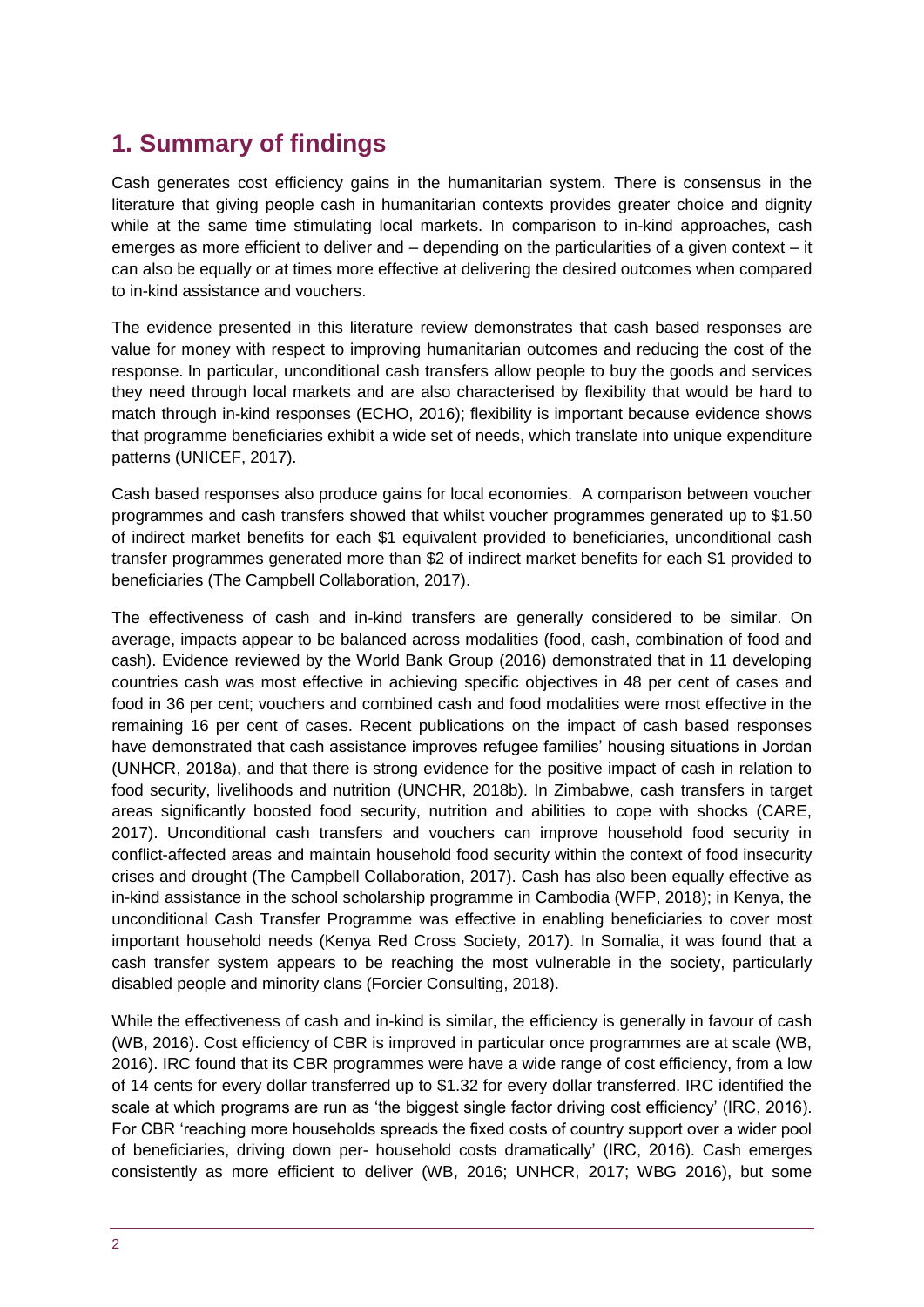#### **1. Summary of findings**

Cash generates cost efficiency gains in the humanitarian system. There is consensus in the literature that giving people cash in humanitarian contexts provides greater choice and dignity while at the same time stimulating local markets. In comparison to in-kind approaches, cash emerges as more efficient to deliver and – depending on the particularities of a given context – it can also be equally or at times more effective at delivering the desired outcomes when compared to in-kind assistance and vouchers.

The evidence presented in this literature review demonstrates that cash based responses are value for money with respect to improving humanitarian outcomes and reducing the cost of the response. In particular, unconditional cash transfers allow people to buy the goods and services they need through local markets and are also characterised by flexibility that would be hard to match through in-kind responses (ECHO, 2016); flexibility is important because evidence shows that programme beneficiaries exhibit a wide set of needs, which translate into unique expenditure patterns (UNICEF, 2017).

Cash based responses also produce gains for local economies. A comparison between voucher programmes and cash transfers showed that whilst voucher programmes generated up to \$1.50 of indirect market benefits for each \$1 equivalent provided to beneficiaries, unconditional cash transfer programmes generated more than \$2 of indirect market benefits for each \$1 provided to beneficiaries (The Campbell Collaboration, 2017).

The effectiveness of cash and in-kind transfers are generally considered to be similar. On average, impacts appear to be balanced across modalities (food, cash, combination of food and cash). Evidence reviewed by the World Bank Group (2016) demonstrated that in 11 developing countries cash was most effective in achieving specific objectives in 48 per cent of cases and food in 36 per cent; vouchers and combined cash and food modalities were most effective in the remaining 16 per cent of cases. Recent publications on the impact of cash based responses have demonstrated that cash assistance improves refugee families' housing situations in Jordan (UNHCR, 2018a), and that there is strong evidence for the positive impact of cash in relation to food security, livelihoods and nutrition (UNCHR, 2018b). In Zimbabwe, cash transfers in target areas significantly boosted food security, nutrition and abilities to cope with shocks (CARE, 2017). Unconditional cash transfers and vouchers can improve household food security in conflict-affected areas and maintain household food security within the context of food insecurity crises and drought (The Campbell Collaboration, 2017). Cash has also been equally effective as in-kind assistance in the school scholarship programme in Cambodia (WFP, 2018); in Kenya, the unconditional Cash Transfer Programme was effective in enabling beneficiaries to cover most important household needs (Kenya Red Cross Society, 2017). In Somalia, it was found that a cash transfer system appears to be reaching the most vulnerable in the society, particularly disabled people and minority clans (Forcier Consulting, 2018).

While the effectiveness of cash and in-kind is similar, the efficiency is generally in favour of cash (WB, 2016). Cost efficiency of CBR is improved in particular once programmes are at scale (WB, 2016). IRC found that its CBR programmes were have a wide range of cost efficiency, from a low of 14 cents for every dollar transferred up to \$1.32 for every dollar transferred. IRC identified the scale at which programs are run as 'the biggest single factor driving cost efficiency' (IRC, 2016). For CBR 'reaching more households spreads the fixed costs of country support over a wider pool of beneficiaries, driving down per- household costs dramatically' (IRC, 2016). Cash emerges consistently as more efficient to deliver (WB, 2016; UNHCR, 2017; WBG 2016), but some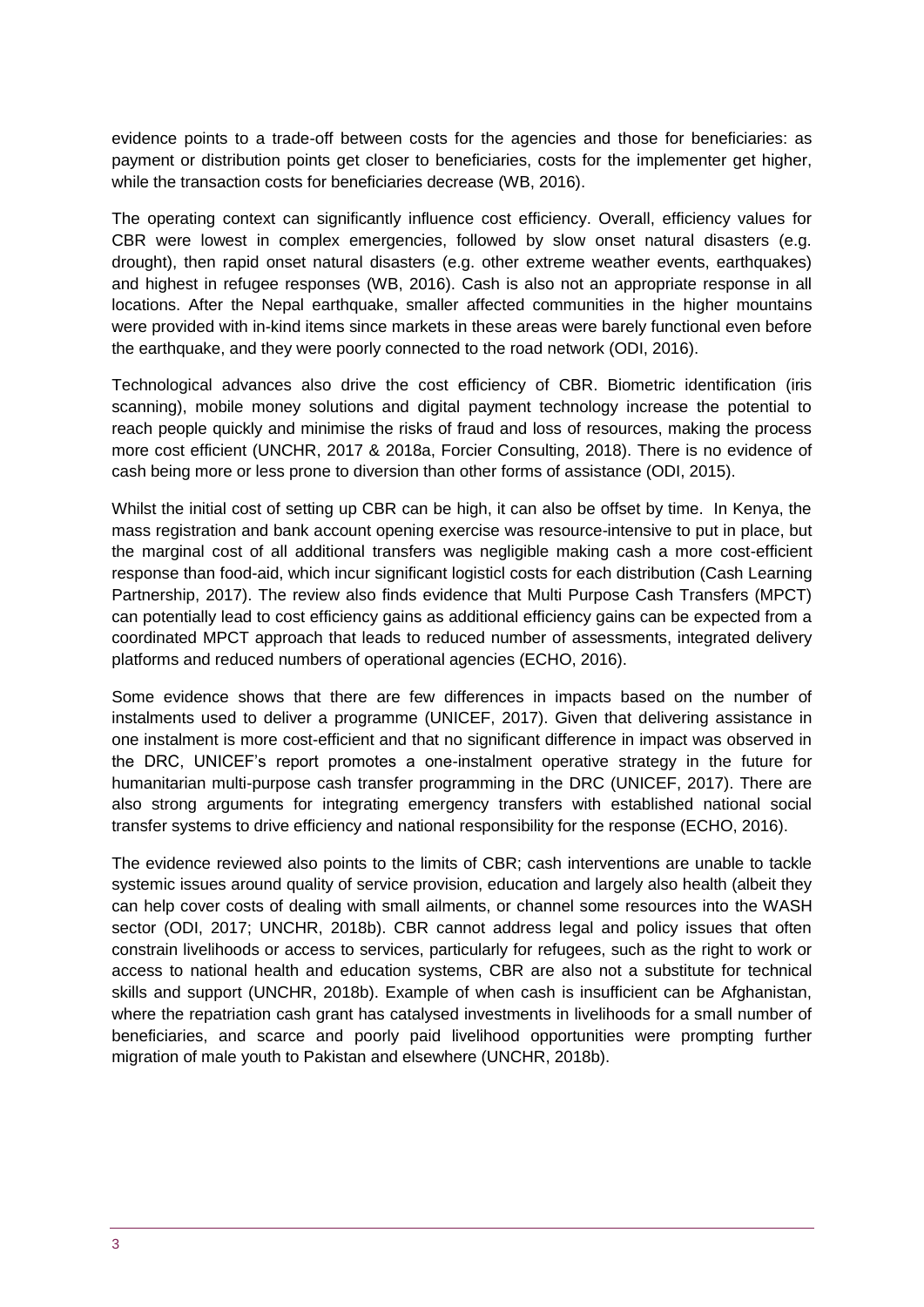evidence points to a trade-off between costs for the agencies and those for beneficiaries: as payment or distribution points get closer to beneficiaries, costs for the implementer get higher, while the transaction costs for beneficiaries decrease (WB, 2016).

The operating context can significantly influence cost efficiency. Overall, efficiency values for CBR were lowest in complex emergencies, followed by slow onset natural disasters (e.g. drought), then rapid onset natural disasters (e.g. other extreme weather events, earthquakes) and highest in refugee responses (WB, 2016). Cash is also not an appropriate response in all locations. After the Nepal earthquake, smaller affected communities in the higher mountains were provided with in-kind items since markets in these areas were barely functional even before the earthquake, and they were poorly connected to the road network (ODI, 2016).

Technological advances also drive the cost efficiency of CBR. Biometric identification (iris scanning), mobile money solutions and digital payment technology increase the potential to reach people quickly and minimise the risks of fraud and loss of resources, making the process more cost efficient (UNCHR, 2017 & 2018a, Forcier Consulting, 2018). There is no evidence of cash being more or less prone to diversion than other forms of assistance (ODI, 2015).

Whilst the initial cost of setting up CBR can be high, it can also be offset by time. In Kenya, the mass registration and bank account opening exercise was resource-intensive to put in place, but the marginal cost of all additional transfers was negligible making cash a more cost-efficient response than food-aid, which incur significant logisticl costs for each distribution (Cash Learning Partnership, 2017). The review also finds evidence that Multi Purpose Cash Transfers (MPCT) can potentially lead to cost efficiency gains as additional efficiency gains can be expected from a coordinated MPCT approach that leads to reduced number of assessments, integrated delivery platforms and reduced numbers of operational agencies (ECHO, 2016).

Some evidence shows that there are few differences in impacts based on the number of instalments used to deliver a programme (UNICEF, 2017). Given that delivering assistance in one instalment is more cost-efficient and that no significant difference in impact was observed in the DRC, UNICEF's report promotes a one-instalment operative strategy in the future for humanitarian multi-purpose cash transfer programming in the DRC (UNICEF, 2017). There are also strong arguments for integrating emergency transfers with established national social transfer systems to drive efficiency and national responsibility for the response (ECHO, 2016).

The evidence reviewed also points to the limits of CBR; cash interventions are unable to tackle systemic issues around quality of service provision, education and largely also health (albeit they can help cover costs of dealing with small ailments, or channel some resources into the WASH sector (ODI, 2017; UNCHR, 2018b). CBR cannot address legal and policy issues that often constrain livelihoods or access to services, particularly for refugees, such as the right to work or access to national health and education systems, CBR are also not a substitute for technical skills and support (UNCHR, 2018b). Example of when cash is insufficient can be Afghanistan, where the repatriation cash grant has catalysed investments in livelihoods for a small number of beneficiaries, and scarce and poorly paid livelihood opportunities were prompting further migration of male youth to Pakistan and elsewhere (UNCHR, 2018b).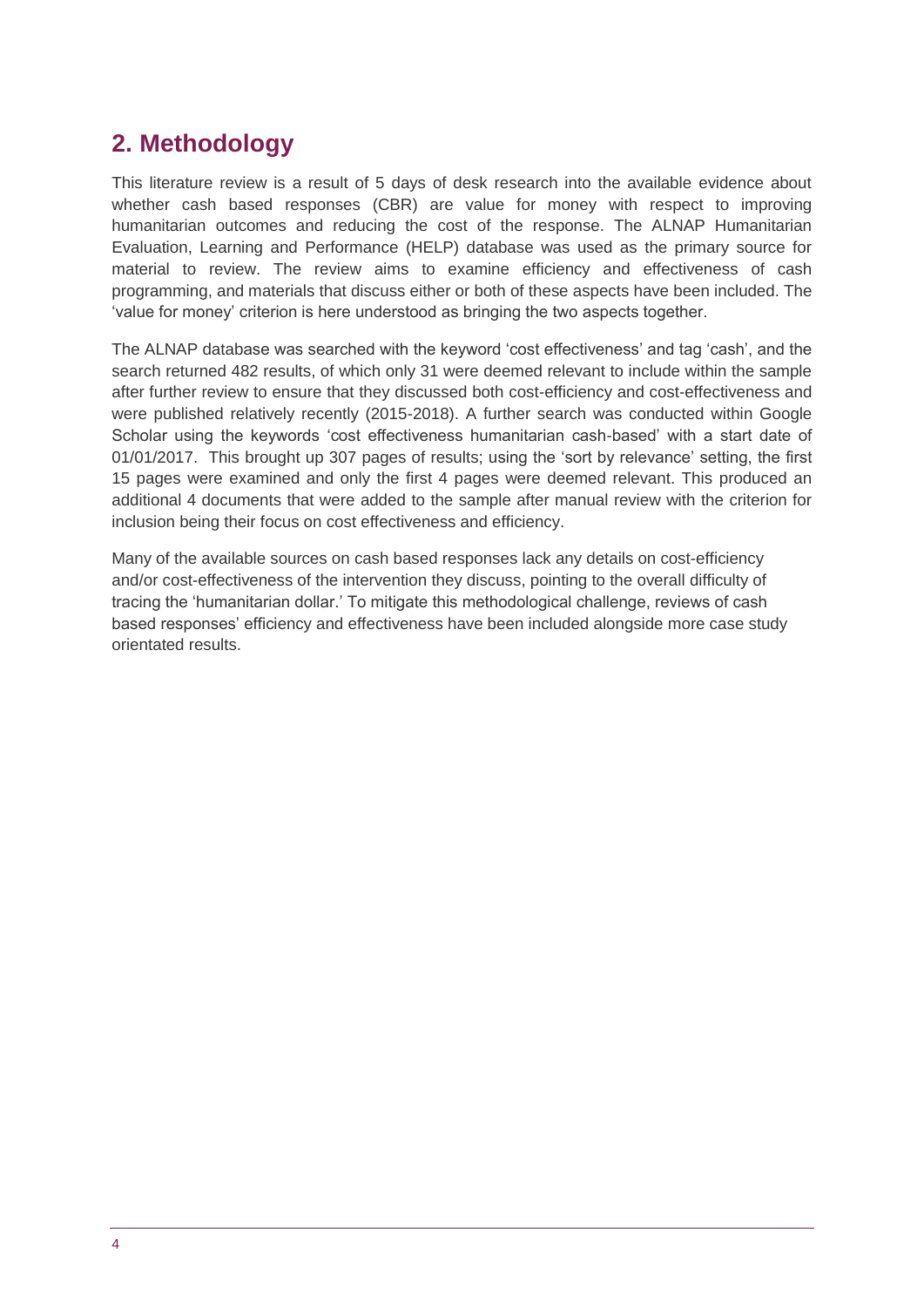# **2. Methodology**

This literature review is a result of 5 days of desk research into the available evidence about whether cash based responses (CBR) are value for money with respect to improving humanitarian outcomes and reducing the cost of the response. The ALNAP Humanitarian Evaluation, Learning and Performance (HELP) database was used as the primary source for material to review. The review aims to examine efficiency and effectiveness of cash programming, and materials that discuss either or both of these aspects have been included. The 'value for money' criterion is here understood as bringing the two aspects together.

The ALNAP database was searched with the keyword 'cost effectiveness' and tag 'cash', and the search returned 482 results, of which only 31 were deemed relevant to include within the sample after further review to ensure that they discussed both cost-efficiency and cost-effectiveness and were published relatively recently (2015-2018). A further search was conducted within Google Scholar using the keywords 'cost effectiveness humanitarian cash-based' with a start date of 01/01/2017. This brought up 307 pages of results; using the 'sort by relevance' setting, the first 15 pages were examined and only the first 4 pages were deemed relevant. This produced an additional 4 documents that were added to the sample after manual review with the criterion for inclusion being their focus on cost effectiveness and efficiency.

Many of the available sources on cash based responses lack any details on cost-efficiency and/or cost-effectiveness of the intervention they discuss, pointing to the overall difficulty of tracing the 'humanitarian dollar.' To mitigate this methodological challenge, reviews of cash based responses' efficiency and effectiveness have been included alongside more case study orientated results.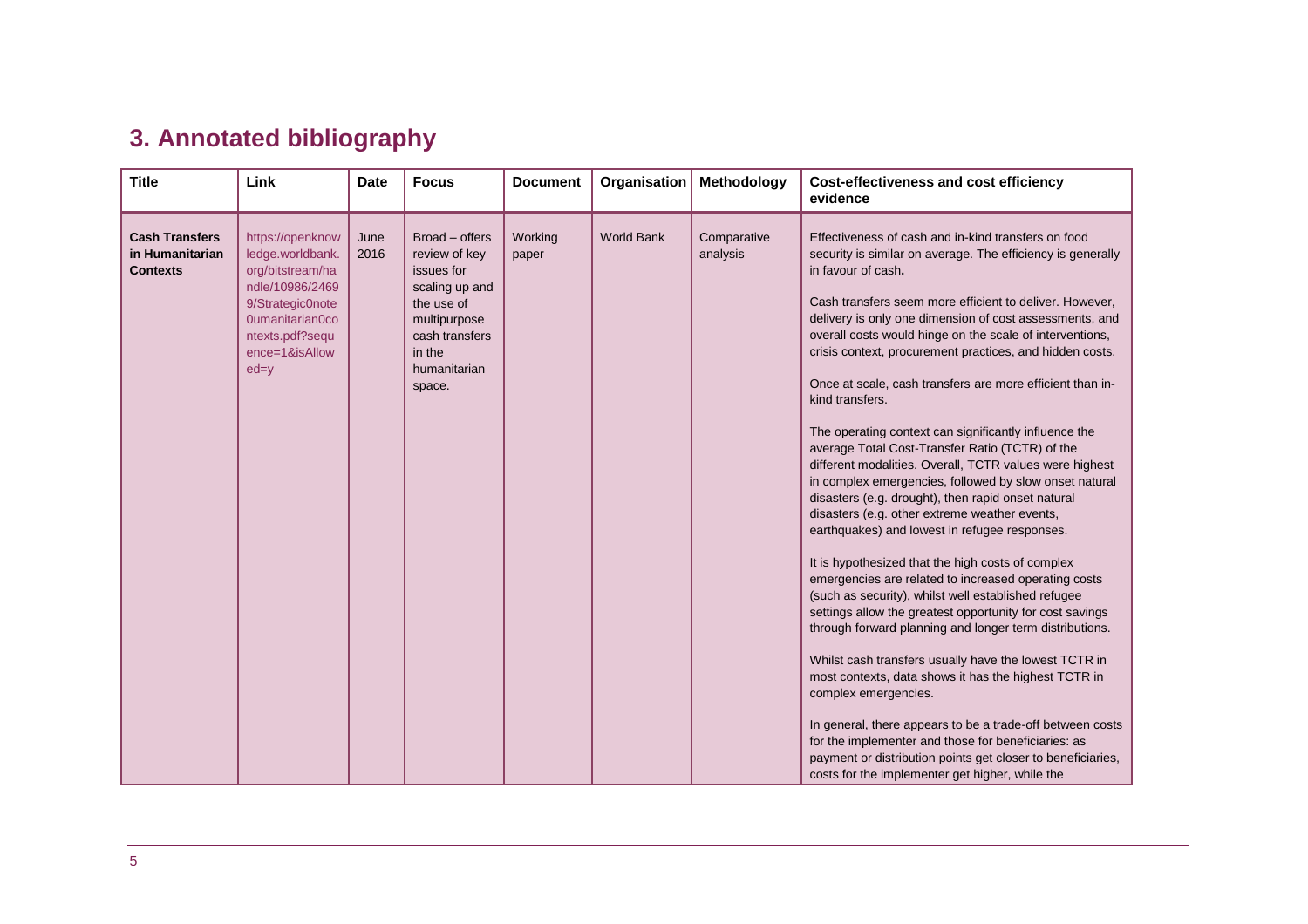# **3. Annotated bibliography**

| <b>Title</b>                                                | Link                                                                                                                                                                | <b>Date</b>  | <b>Focus</b>                                                                                                                                        | <b>Document</b>  | Organisation      | Methodology             | Cost-effectiveness and cost efficiency<br>evidence                                                                                                                                                                                                                                                                                                                                                                                                                                                                                                                                                                                                                                                                                                                                                                                                                                                                                                                                                                                                                                                                                                                                                                                                                                                                                                                                                                                                                                                                                        |
|-------------------------------------------------------------|---------------------------------------------------------------------------------------------------------------------------------------------------------------------|--------------|-----------------------------------------------------------------------------------------------------------------------------------------------------|------------------|-------------------|-------------------------|-------------------------------------------------------------------------------------------------------------------------------------------------------------------------------------------------------------------------------------------------------------------------------------------------------------------------------------------------------------------------------------------------------------------------------------------------------------------------------------------------------------------------------------------------------------------------------------------------------------------------------------------------------------------------------------------------------------------------------------------------------------------------------------------------------------------------------------------------------------------------------------------------------------------------------------------------------------------------------------------------------------------------------------------------------------------------------------------------------------------------------------------------------------------------------------------------------------------------------------------------------------------------------------------------------------------------------------------------------------------------------------------------------------------------------------------------------------------------------------------------------------------------------------------|
| <b>Cash Transfers</b><br>in Humanitarian<br><b>Contexts</b> | https://openknow<br>ledge.worldbank.<br>org/bitstream/ha<br>ndle/10986/2469<br>9/Strategic0note<br>0umanitarian0co<br>ntexts.pdf?sequ<br>ence=1&isAllow<br>$ed = y$ | June<br>2016 | Broad – offers<br>review of key<br>issues for<br>scaling up and<br>the use of<br>multipurpose<br>cash transfers<br>in the<br>humanitarian<br>space. | Working<br>paper | <b>World Bank</b> | Comparative<br>analysis | Effectiveness of cash and in-kind transfers on food<br>security is similar on average. The efficiency is generally<br>in favour of cash.<br>Cash transfers seem more efficient to deliver. However,<br>delivery is only one dimension of cost assessments, and<br>overall costs would hinge on the scale of interventions,<br>crisis context, procurement practices, and hidden costs.<br>Once at scale, cash transfers are more efficient than in-<br>kind transfers.<br>The operating context can significantly influence the<br>average Total Cost-Transfer Ratio (TCTR) of the<br>different modalities. Overall, TCTR values were highest<br>in complex emergencies, followed by slow onset natural<br>disasters (e.g. drought), then rapid onset natural<br>disasters (e.g. other extreme weather events,<br>earthquakes) and lowest in refugee responses.<br>It is hypothesized that the high costs of complex<br>emergencies are related to increased operating costs<br>(such as security), whilst well established refugee<br>settings allow the greatest opportunity for cost savings<br>through forward planning and longer term distributions.<br>Whilst cash transfers usually have the lowest TCTR in<br>most contexts, data shows it has the highest TCTR in<br>complex emergencies.<br>In general, there appears to be a trade-off between costs<br>for the implementer and those for beneficiaries: as<br>payment or distribution points get closer to beneficiaries,<br>costs for the implementer get higher, while the |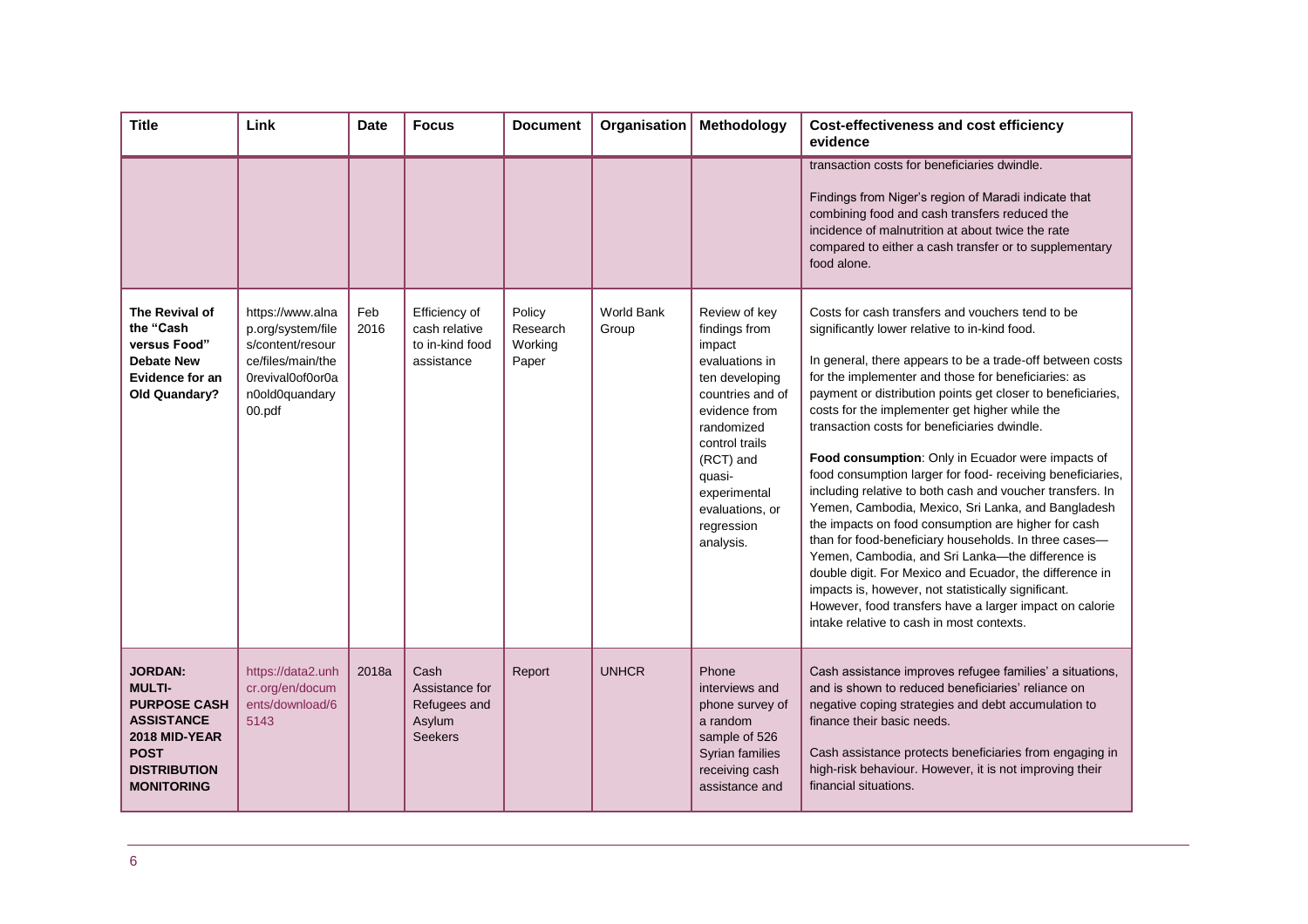| <b>Title</b>                                                                                                                                            | Link                                                                                                                           | <b>Date</b> | <b>Focus</b>                                                       | <b>Document</b>                        | Organisation               | Methodology                                                                                                                                                                                                                            | <b>Cost-effectiveness and cost efficiency</b><br>evidence                                                                                                                                                                                                                                                                                                                                                                                                                                                                                                                                                                                                                                                                                                                                                                                                                                                                                                                                                                  |
|---------------------------------------------------------------------------------------------------------------------------------------------------------|--------------------------------------------------------------------------------------------------------------------------------|-------------|--------------------------------------------------------------------|----------------------------------------|----------------------------|----------------------------------------------------------------------------------------------------------------------------------------------------------------------------------------------------------------------------------------|----------------------------------------------------------------------------------------------------------------------------------------------------------------------------------------------------------------------------------------------------------------------------------------------------------------------------------------------------------------------------------------------------------------------------------------------------------------------------------------------------------------------------------------------------------------------------------------------------------------------------------------------------------------------------------------------------------------------------------------------------------------------------------------------------------------------------------------------------------------------------------------------------------------------------------------------------------------------------------------------------------------------------|
|                                                                                                                                                         |                                                                                                                                |             |                                                                    |                                        |                            |                                                                                                                                                                                                                                        | transaction costs for beneficiaries dwindle.<br>Findings from Niger's region of Maradi indicate that<br>combining food and cash transfers reduced the<br>incidence of malnutrition at about twice the rate<br>compared to either a cash transfer or to supplementary<br>food alone.                                                                                                                                                                                                                                                                                                                                                                                                                                                                                                                                                                                                                                                                                                                                        |
| The Revival of<br>the "Cash<br>versus Food"<br><b>Debate New</b><br>Evidence for an<br>Old Quandary?                                                    | https://www.alna<br>p.org/system/file<br>s/content/resour<br>ce/files/main/the<br>OrevivalOofOorOa<br>n0old0quandary<br>00.pdf | Feb<br>2016 | Efficiency of<br>cash relative<br>to in-kind food<br>assistance    | Policy<br>Research<br>Working<br>Paper | <b>World Bank</b><br>Group | Review of key<br>findings from<br>impact<br>evaluations in<br>ten developing<br>countries and of<br>evidence from<br>randomized<br>control trails<br>(RCT) and<br>quasi-<br>experimental<br>evaluations, or<br>regression<br>analysis. | Costs for cash transfers and vouchers tend to be<br>significantly lower relative to in-kind food.<br>In general, there appears to be a trade-off between costs<br>for the implementer and those for beneficiaries: as<br>payment or distribution points get closer to beneficiaries,<br>costs for the implementer get higher while the<br>transaction costs for beneficiaries dwindle.<br>Food consumption: Only in Ecuador were impacts of<br>food consumption larger for food- receiving beneficiaries,<br>including relative to both cash and voucher transfers. In<br>Yemen, Cambodia, Mexico, Sri Lanka, and Bangladesh<br>the impacts on food consumption are higher for cash<br>than for food-beneficiary households. In three cases-<br>Yemen, Cambodia, and Sri Lanka-the difference is<br>double digit. For Mexico and Ecuador, the difference in<br>impacts is, however, not statistically significant.<br>However, food transfers have a larger impact on calorie<br>intake relative to cash in most contexts. |
| <b>JORDAN:</b><br><b>MULTI-</b><br><b>PURPOSE CASH</b><br><b>ASSISTANCE</b><br>2018 MID-YEAR<br><b>POST</b><br><b>DISTRIBUTION</b><br><b>MONITORING</b> | https://data2.unh<br>cr.org/en/docum<br>ents/download/6<br>5143                                                                | 2018a       | Cash<br>Assistance for<br>Refugees and<br>Asylum<br><b>Seekers</b> | Report                                 | <b>UNHCR</b>               | Phone<br>interviews and<br>phone survey of<br>a random<br>sample of 526<br>Syrian families<br>receiving cash<br>assistance and                                                                                                         | Cash assistance improves refugee families' a situations,<br>and is shown to reduced beneficiaries' reliance on<br>negative coping strategies and debt accumulation to<br>finance their basic needs.<br>Cash assistance protects beneficiaries from engaging in<br>high-risk behaviour. However, it is not improving their<br>financial situations.                                                                                                                                                                                                                                                                                                                                                                                                                                                                                                                                                                                                                                                                         |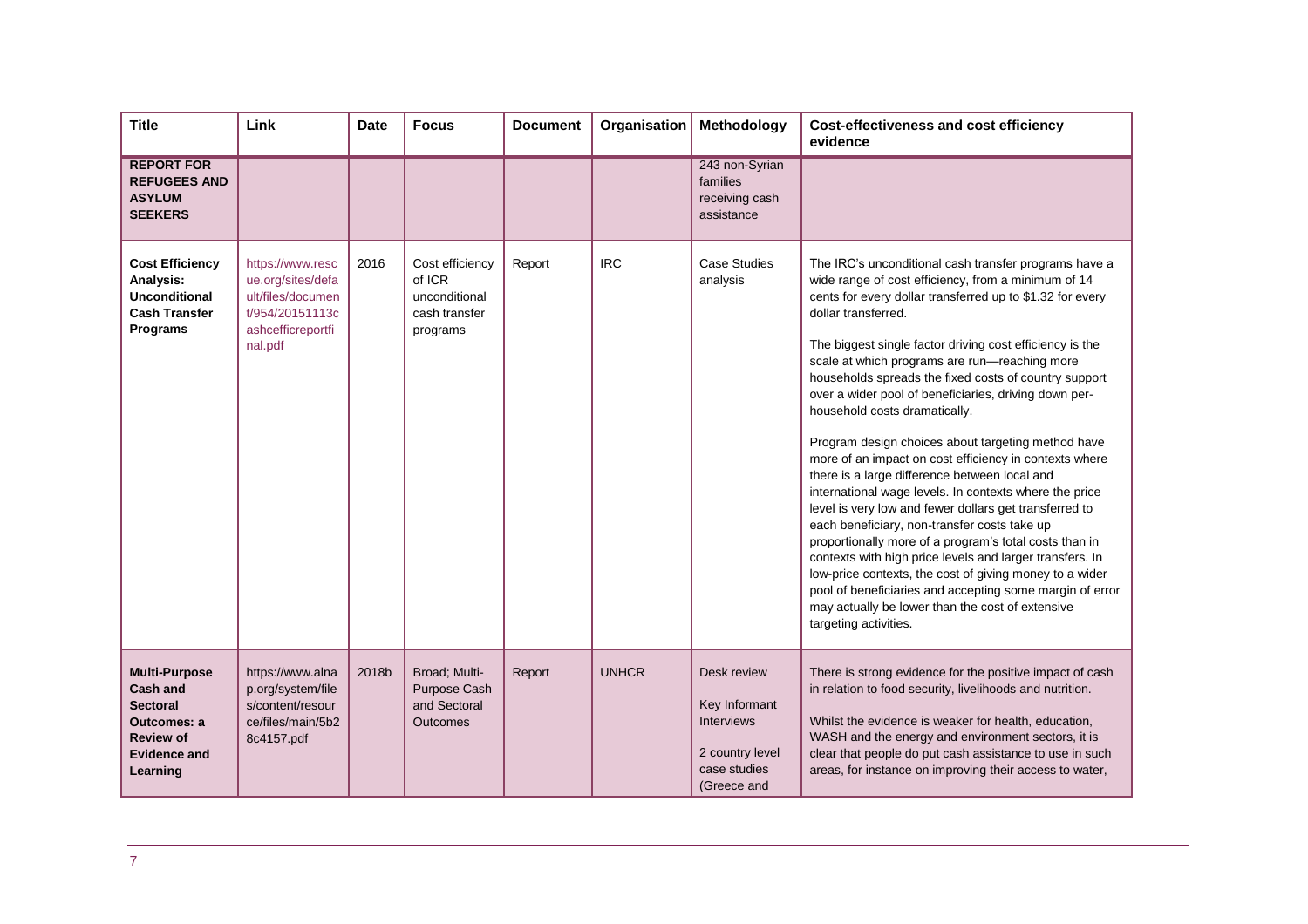| <b>Title</b>                                                                                                                            | Link                                                                                                          | <b>Date</b> | <b>Focus</b>                                                            | <b>Document</b> | Organisation | Methodology                                                                                         | <b>Cost-effectiveness and cost efficiency</b><br>evidence                                                                                                                                                                                                                                                                                                                                                                                                                                                                                                                                                                                                                                                                                                                                                                                                                                                                                                                                                                                                                                                                       |
|-----------------------------------------------------------------------------------------------------------------------------------------|---------------------------------------------------------------------------------------------------------------|-------------|-------------------------------------------------------------------------|-----------------|--------------|-----------------------------------------------------------------------------------------------------|---------------------------------------------------------------------------------------------------------------------------------------------------------------------------------------------------------------------------------------------------------------------------------------------------------------------------------------------------------------------------------------------------------------------------------------------------------------------------------------------------------------------------------------------------------------------------------------------------------------------------------------------------------------------------------------------------------------------------------------------------------------------------------------------------------------------------------------------------------------------------------------------------------------------------------------------------------------------------------------------------------------------------------------------------------------------------------------------------------------------------------|
| <b>REPORT FOR</b><br><b>REFUGEES AND</b><br><b>ASYLUM</b><br><b>SEEKERS</b>                                                             |                                                                                                               |             |                                                                         |                 |              | 243 non-Syrian<br>families<br>receiving cash<br>assistance                                          |                                                                                                                                                                                                                                                                                                                                                                                                                                                                                                                                                                                                                                                                                                                                                                                                                                                                                                                                                                                                                                                                                                                                 |
| <b>Cost Efficiency</b><br>Analysis:<br><b>Unconditional</b><br><b>Cash Transfer</b><br>Programs                                         | https://www.resc<br>ue.org/sites/defa<br>ult/files/documen<br>t/954/20151113c<br>ashcefficreportfi<br>nal.pdf | 2016        | Cost efficiency<br>of ICR<br>unconditional<br>cash transfer<br>programs | Report          | <b>IRC</b>   | Case Studies<br>analysis                                                                            | The IRC's unconditional cash transfer programs have a<br>wide range of cost efficiency, from a minimum of 14<br>cents for every dollar transferred up to \$1.32 for every<br>dollar transferred.<br>The biggest single factor driving cost efficiency is the<br>scale at which programs are run-reaching more<br>households spreads the fixed costs of country support<br>over a wider pool of beneficiaries, driving down per-<br>household costs dramatically.<br>Program design choices about targeting method have<br>more of an impact on cost efficiency in contexts where<br>there is a large difference between local and<br>international wage levels. In contexts where the price<br>level is very low and fewer dollars get transferred to<br>each beneficiary, non-transfer costs take up<br>proportionally more of a program's total costs than in<br>contexts with high price levels and larger transfers. In<br>low-price contexts, the cost of giving money to a wider<br>pool of beneficiaries and accepting some margin of error<br>may actually be lower than the cost of extensive<br>targeting activities. |
| <b>Multi-Purpose</b><br><b>Cash and</b><br><b>Sectoral</b><br><b>Outcomes: a</b><br><b>Review of</b><br><b>Evidence and</b><br>Learning | https://www.alna<br>p.org/system/file<br>s/content/resour<br>ce/files/main/5b2<br>8c4157.pdf                  | 2018b       | Broad; Multi-<br>Purpose Cash<br>and Sectoral<br><b>Outcomes</b>        | Report          | <b>UNHCR</b> | Desk review<br>Key Informant<br><b>Interviews</b><br>2 country level<br>case studies<br>(Greece and | There is strong evidence for the positive impact of cash<br>in relation to food security, livelihoods and nutrition.<br>Whilst the evidence is weaker for health, education,<br>WASH and the energy and environment sectors, it is<br>clear that people do put cash assistance to use in such<br>areas, for instance on improving their access to water,                                                                                                                                                                                                                                                                                                                                                                                                                                                                                                                                                                                                                                                                                                                                                                        |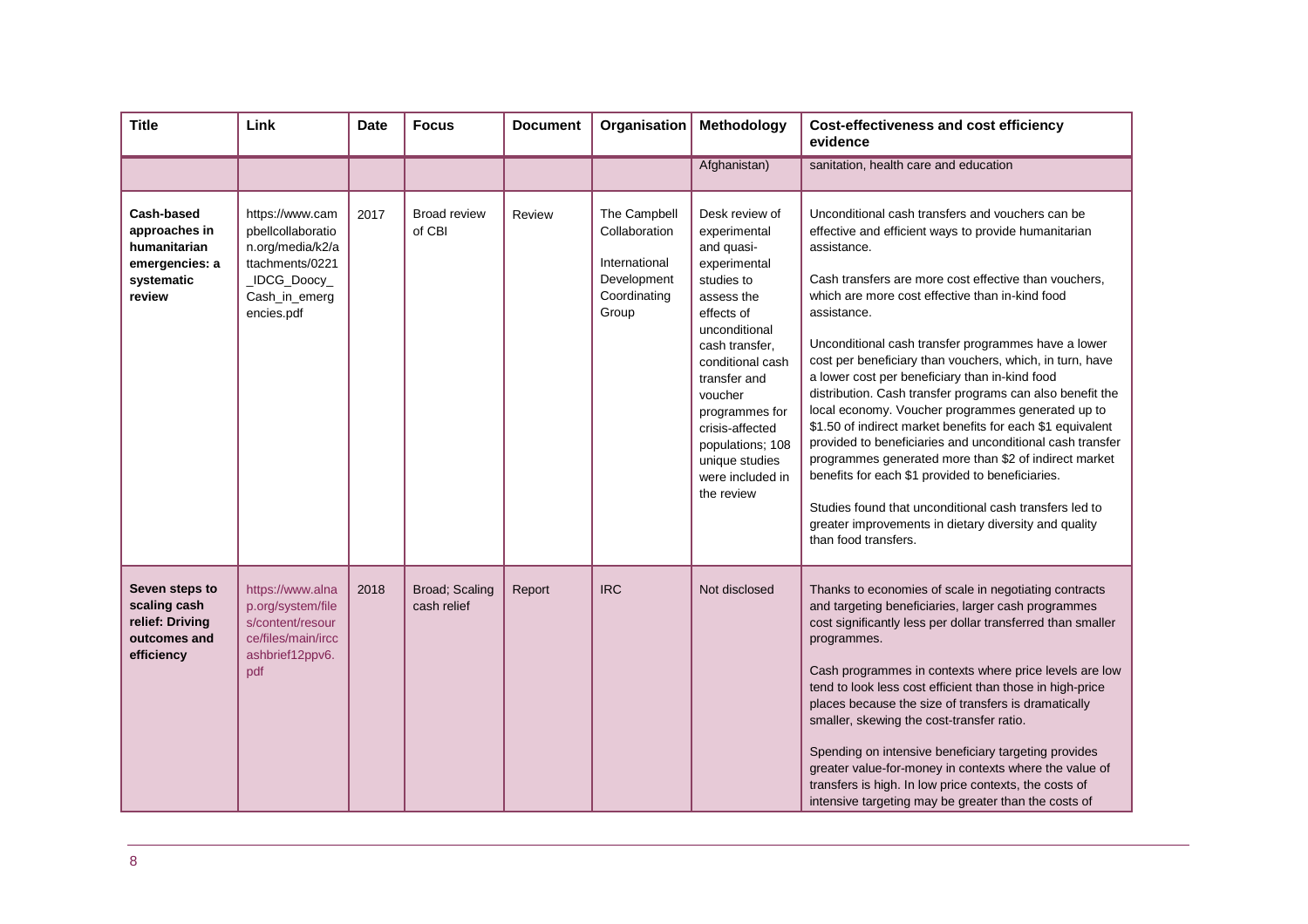| <b>Title</b>                                                                                 | Link                                                                                                                       | <b>Date</b> | <b>Focus</b>                  | <b>Document</b> | Organisation                                                                           | Methodology                                                                                                                                                                                                                                                                                           | Cost-effectiveness and cost efficiency<br>evidence                                                                                                                                                                                                                                                                                                                                                                                                                                                                                                                                                                                                                                                                                                                                                                                                                                                                           |
|----------------------------------------------------------------------------------------------|----------------------------------------------------------------------------------------------------------------------------|-------------|-------------------------------|-----------------|----------------------------------------------------------------------------------------|-------------------------------------------------------------------------------------------------------------------------------------------------------------------------------------------------------------------------------------------------------------------------------------------------------|------------------------------------------------------------------------------------------------------------------------------------------------------------------------------------------------------------------------------------------------------------------------------------------------------------------------------------------------------------------------------------------------------------------------------------------------------------------------------------------------------------------------------------------------------------------------------------------------------------------------------------------------------------------------------------------------------------------------------------------------------------------------------------------------------------------------------------------------------------------------------------------------------------------------------|
|                                                                                              |                                                                                                                            |             |                               |                 |                                                                                        | Afghanistan)                                                                                                                                                                                                                                                                                          | sanitation, health care and education                                                                                                                                                                                                                                                                                                                                                                                                                                                                                                                                                                                                                                                                                                                                                                                                                                                                                        |
| <b>Cash-based</b><br>approaches in<br>humanitarian<br>emergencies: a<br>systematic<br>review | https://www.cam<br>pbellcollaboratio<br>n.org/media/k2/a<br>ttachments/0221<br>_IDCG_Doocy_<br>Cash_in_emerg<br>encies.pdf | 2017        | <b>Broad review</b><br>of CBI | Review          | The Campbell<br>Collaboration<br>International<br>Development<br>Coordinating<br>Group | Desk review of<br>experimental<br>and quasi-<br>experimental<br>studies to<br>assess the<br>effects of<br>unconditional<br>cash transfer.<br>conditional cash<br>transfer and<br>voucher<br>programmes for<br>crisis-affected<br>populations; 108<br>unique studies<br>were included in<br>the review | Unconditional cash transfers and vouchers can be<br>effective and efficient ways to provide humanitarian<br>assistance.<br>Cash transfers are more cost effective than vouchers,<br>which are more cost effective than in-kind food<br>assistance.<br>Unconditional cash transfer programmes have a lower<br>cost per beneficiary than vouchers, which, in turn, have<br>a lower cost per beneficiary than in-kind food<br>distribution. Cash transfer programs can also benefit the<br>local economy. Voucher programmes generated up to<br>\$1.50 of indirect market benefits for each \$1 equivalent<br>provided to beneficiaries and unconditional cash transfer<br>programmes generated more than \$2 of indirect market<br>benefits for each \$1 provided to beneficiaries.<br>Studies found that unconditional cash transfers led to<br>greater improvements in dietary diversity and quality<br>than food transfers. |
| Seven steps to<br>scaling cash<br>relief: Driving<br>outcomes and<br>efficiency              | https://www.alna<br>p.org/system/file<br>s/content/resour<br>ce/files/main/ircc<br>ashbrief12ppv6.<br>pdf                  | 2018        | Broad; Scaling<br>cash relief | Report          | <b>IRC</b>                                                                             | Not disclosed                                                                                                                                                                                                                                                                                         | Thanks to economies of scale in negotiating contracts<br>and targeting beneficiaries, larger cash programmes<br>cost significantly less per dollar transferred than smaller<br>programmes.<br>Cash programmes in contexts where price levels are low<br>tend to look less cost efficient than those in high-price<br>places because the size of transfers is dramatically<br>smaller, skewing the cost-transfer ratio.<br>Spending on intensive beneficiary targeting provides<br>greater value-for-money in contexts where the value of<br>transfers is high. In low price contexts, the costs of<br>intensive targeting may be greater than the costs of                                                                                                                                                                                                                                                                   |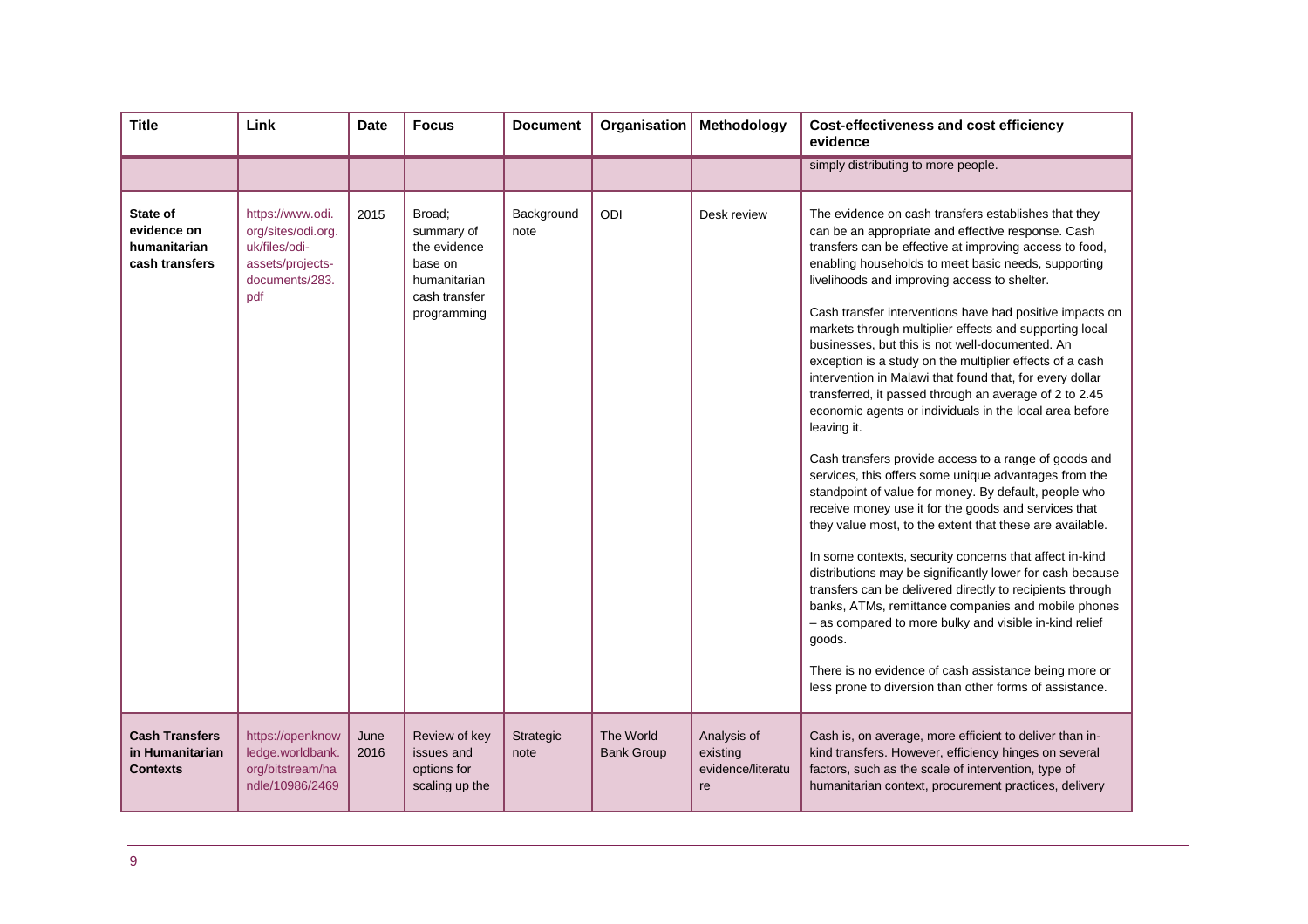| <b>Title</b>                                                | Link                                                                                                 | <b>Date</b>  | <b>Focus</b>                                                                                    | <b>Document</b>    | Organisation                   | Methodology                                        | <b>Cost-effectiveness and cost efficiency</b><br>evidence                                                                                                                                                                                                                                                                                                                                                                                                                                                                                                                                                                                                                                                                                                                                                                                                                                                                                                                                                                                                                                                                                                                                                                                                                                                                                                                                                                                             |
|-------------------------------------------------------------|------------------------------------------------------------------------------------------------------|--------------|-------------------------------------------------------------------------------------------------|--------------------|--------------------------------|----------------------------------------------------|-------------------------------------------------------------------------------------------------------------------------------------------------------------------------------------------------------------------------------------------------------------------------------------------------------------------------------------------------------------------------------------------------------------------------------------------------------------------------------------------------------------------------------------------------------------------------------------------------------------------------------------------------------------------------------------------------------------------------------------------------------------------------------------------------------------------------------------------------------------------------------------------------------------------------------------------------------------------------------------------------------------------------------------------------------------------------------------------------------------------------------------------------------------------------------------------------------------------------------------------------------------------------------------------------------------------------------------------------------------------------------------------------------------------------------------------------------|
|                                                             |                                                                                                      |              |                                                                                                 |                    |                                |                                                    | simply distributing to more people.                                                                                                                                                                                                                                                                                                                                                                                                                                                                                                                                                                                                                                                                                                                                                                                                                                                                                                                                                                                                                                                                                                                                                                                                                                                                                                                                                                                                                   |
| State of<br>evidence on<br>humanitarian<br>cash transfers   | https://www.odi.<br>org/sites/odi.org.<br>uk/files/odi-<br>assets/projects-<br>documents/283.<br>pdf | 2015         | Broad;<br>summary of<br>the evidence<br>base on<br>humanitarian<br>cash transfer<br>programming | Background<br>note | ODI                            | Desk review                                        | The evidence on cash transfers establishes that they<br>can be an appropriate and effective response. Cash<br>transfers can be effective at improving access to food,<br>enabling households to meet basic needs, supporting<br>livelihoods and improving access to shelter.<br>Cash transfer interventions have had positive impacts on<br>markets through multiplier effects and supporting local<br>businesses, but this is not well-documented. An<br>exception is a study on the multiplier effects of a cash<br>intervention in Malawi that found that, for every dollar<br>transferred, it passed through an average of 2 to 2.45<br>economic agents or individuals in the local area before<br>leaving it.<br>Cash transfers provide access to a range of goods and<br>services, this offers some unique advantages from the<br>standpoint of value for money. By default, people who<br>receive money use it for the goods and services that<br>they value most, to the extent that these are available.<br>In some contexts, security concerns that affect in-kind<br>distributions may be significantly lower for cash because<br>transfers can be delivered directly to recipients through<br>banks, ATMs, remittance companies and mobile phones<br>- as compared to more bulky and visible in-kind relief<br>goods.<br>There is no evidence of cash assistance being more or<br>less prone to diversion than other forms of assistance. |
| <b>Cash Transfers</b><br>in Humanitarian<br><b>Contexts</b> | https://openknow<br>ledge.worldbank.<br>org/bitstream/ha<br>ndle/10986/2469                          | June<br>2016 | Review of key<br>issues and<br>options for<br>scaling up the                                    | Strategic<br>note  | The World<br><b>Bank Group</b> | Analysis of<br>existing<br>evidence/literatu<br>re | Cash is, on average, more efficient to deliver than in-<br>kind transfers. However, efficiency hinges on several<br>factors, such as the scale of intervention, type of<br>humanitarian context, procurement practices, delivery                                                                                                                                                                                                                                                                                                                                                                                                                                                                                                                                                                                                                                                                                                                                                                                                                                                                                                                                                                                                                                                                                                                                                                                                                      |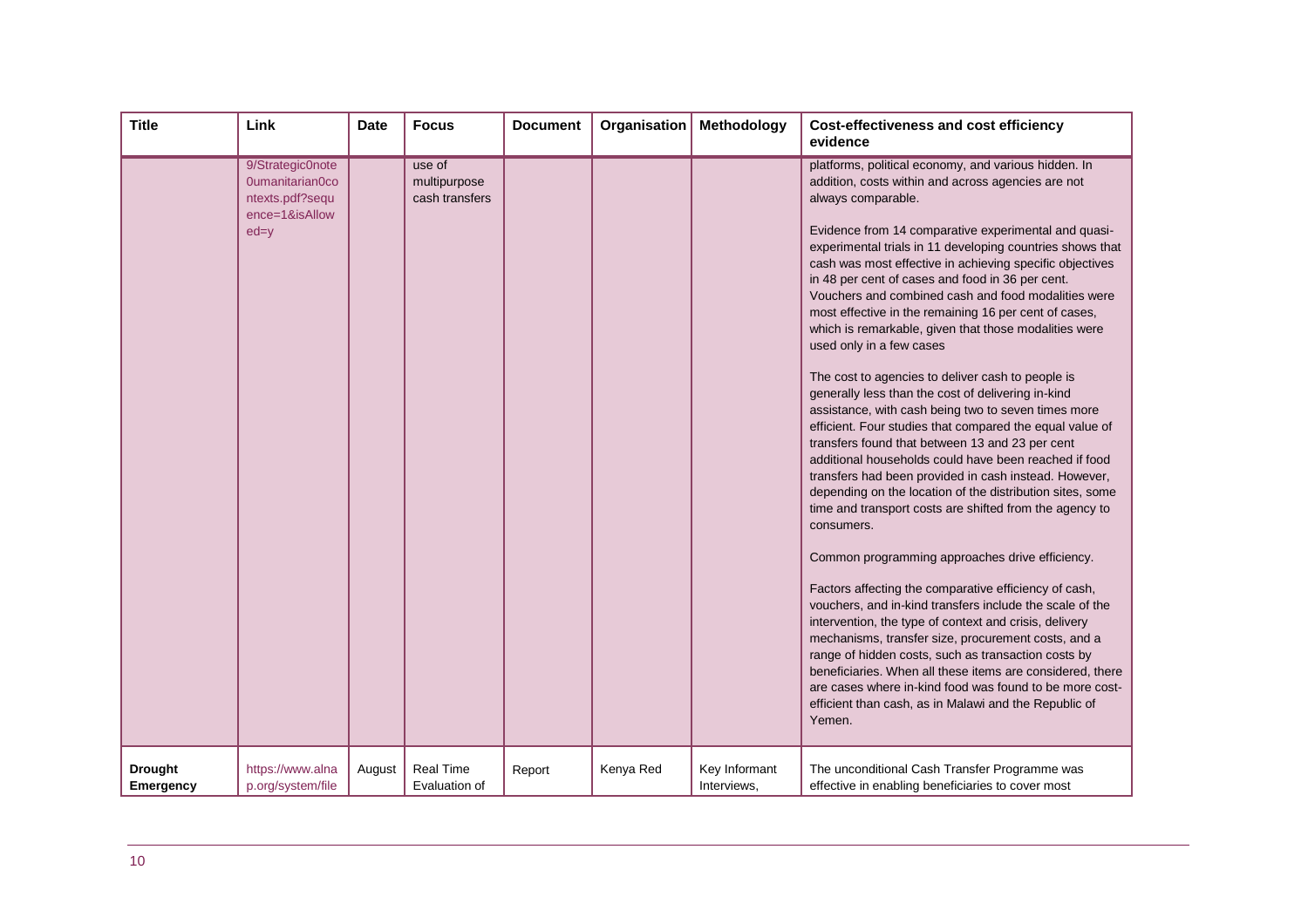| <b>Title</b>                       | Link                                                                               | <b>Date</b> | <b>Focus</b>                             | <b>Document</b> | Organisation | Methodology                  | <b>Cost-effectiveness and cost efficiency</b><br>evidence                                                                                                                                                                                                                                                                                                                                                                                                                                                                                                                                                                                                                                                                                                                                                                                                                                                                                                                                                                                                                                                                                                                                                                                                                                                                                                                                                                                                                                                                                                                                                                                                      |
|------------------------------------|------------------------------------------------------------------------------------|-------------|------------------------------------------|-----------------|--------------|------------------------------|----------------------------------------------------------------------------------------------------------------------------------------------------------------------------------------------------------------------------------------------------------------------------------------------------------------------------------------------------------------------------------------------------------------------------------------------------------------------------------------------------------------------------------------------------------------------------------------------------------------------------------------------------------------------------------------------------------------------------------------------------------------------------------------------------------------------------------------------------------------------------------------------------------------------------------------------------------------------------------------------------------------------------------------------------------------------------------------------------------------------------------------------------------------------------------------------------------------------------------------------------------------------------------------------------------------------------------------------------------------------------------------------------------------------------------------------------------------------------------------------------------------------------------------------------------------------------------------------------------------------------------------------------------------|
|                                    | 9/Strategic0note<br>0umanitarian0co<br>ntexts.pdf?sequ<br>ence=1&isAllow<br>$ed=y$ |             | use of<br>multipurpose<br>cash transfers |                 |              |                              | platforms, political economy, and various hidden. In<br>addition, costs within and across agencies are not<br>always comparable.<br>Evidence from 14 comparative experimental and quasi-<br>experimental trials in 11 developing countries shows that<br>cash was most effective in achieving specific objectives<br>in 48 per cent of cases and food in 36 per cent.<br>Vouchers and combined cash and food modalities were<br>most effective in the remaining 16 per cent of cases,<br>which is remarkable, given that those modalities were<br>used only in a few cases<br>The cost to agencies to deliver cash to people is<br>generally less than the cost of delivering in-kind<br>assistance, with cash being two to seven times more<br>efficient. Four studies that compared the equal value of<br>transfers found that between 13 and 23 per cent<br>additional households could have been reached if food<br>transfers had been provided in cash instead. However,<br>depending on the location of the distribution sites, some<br>time and transport costs are shifted from the agency to<br>consumers.<br>Common programming approaches drive efficiency.<br>Factors affecting the comparative efficiency of cash,<br>vouchers, and in-kind transfers include the scale of the<br>intervention, the type of context and crisis, delivery<br>mechanisms, transfer size, procurement costs, and a<br>range of hidden costs, such as transaction costs by<br>beneficiaries. When all these items are considered, there<br>are cases where in-kind food was found to be more cost-<br>efficient than cash, as in Malawi and the Republic of<br>Yemen. |
| <b>Drought</b><br><b>Emergency</b> | https://www.alna<br>p.org/system/file                                              | August      | <b>Real Time</b><br>Evaluation of        | Report          | Kenya Red    | Key Informant<br>Interviews, | The unconditional Cash Transfer Programme was<br>effective in enabling beneficiaries to cover most                                                                                                                                                                                                                                                                                                                                                                                                                                                                                                                                                                                                                                                                                                                                                                                                                                                                                                                                                                                                                                                                                                                                                                                                                                                                                                                                                                                                                                                                                                                                                             |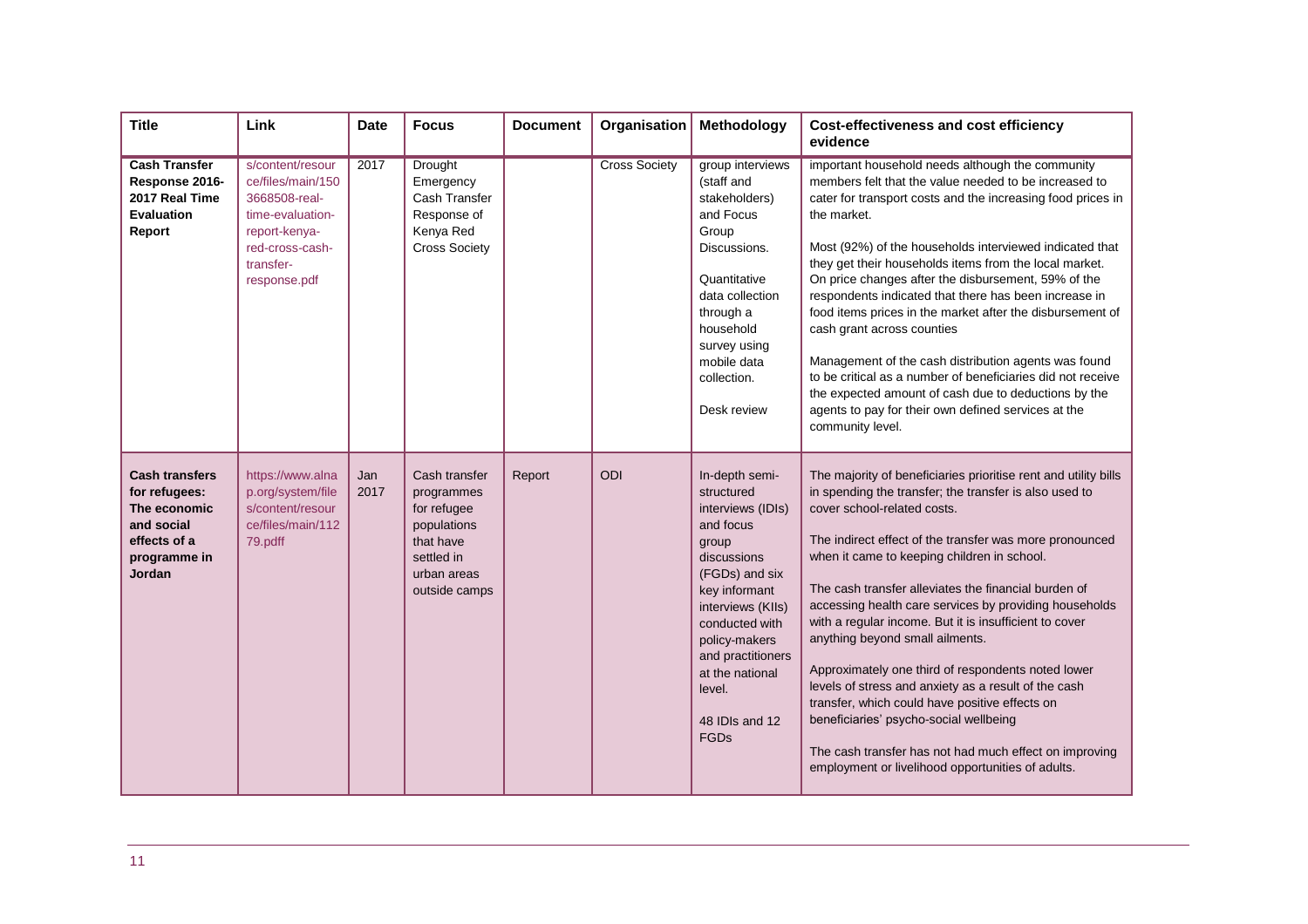| <b>Title</b>                                                                                                          | Link                                                                                                                                        | <b>Date</b> | <b>Focus</b>                                                                                                         | <b>Document</b> | Organisation         | Methodology                                                                                                                                                                                                                                                   | <b>Cost-effectiveness and cost efficiency</b><br>evidence                                                                                                                                                                                                                                                                                                                                                                                                                                                                                                                                                                                                                                                                                                                                                  |
|-----------------------------------------------------------------------------------------------------------------------|---------------------------------------------------------------------------------------------------------------------------------------------|-------------|----------------------------------------------------------------------------------------------------------------------|-----------------|----------------------|---------------------------------------------------------------------------------------------------------------------------------------------------------------------------------------------------------------------------------------------------------------|------------------------------------------------------------------------------------------------------------------------------------------------------------------------------------------------------------------------------------------------------------------------------------------------------------------------------------------------------------------------------------------------------------------------------------------------------------------------------------------------------------------------------------------------------------------------------------------------------------------------------------------------------------------------------------------------------------------------------------------------------------------------------------------------------------|
| <b>Cash Transfer</b><br>Response 2016-<br>2017 Real Time<br><b>Evaluation</b><br>Report                               | s/content/resour<br>ce/files/main/150<br>3668508-real-<br>time-evaluation-<br>report-kenya-<br>red-cross-cash-<br>transfer-<br>response.pdf | 2017        | Drought<br>Emergency<br>Cash Transfer<br>Response of<br>Kenya Red<br><b>Cross Society</b>                            |                 | <b>Cross Society</b> | group interviews<br>(staff and<br>stakeholders)<br>and Focus<br>Group<br>Discussions.<br>Quantitative<br>data collection<br>through a<br>household<br>survey using<br>mobile data<br>collection.<br>Desk review                                               | important household needs although the community<br>members felt that the value needed to be increased to<br>cater for transport costs and the increasing food prices in<br>the market.<br>Most (92%) of the households interviewed indicated that<br>they get their households items from the local market.<br>On price changes after the disbursement, 59% of the<br>respondents indicated that there has been increase in<br>food items prices in the market after the disbursement of<br>cash grant across counties<br>Management of the cash distribution agents was found<br>to be critical as a number of beneficiaries did not receive<br>the expected amount of cash due to deductions by the<br>agents to pay for their own defined services at the<br>community level.                          |
| <b>Cash transfers</b><br>for refugees:<br>The economic<br>and social<br>effects of a<br>programme in<br><b>Jordan</b> | https://www.alna<br>p.org/system/file<br>s/content/resour<br>ce/files/main/112<br>79.pdff                                                   | Jan<br>2017 | Cash transfer<br>programmes<br>for refugee<br>populations<br>that have<br>settled in<br>urban areas<br>outside camps | Report          | ODI                  | In-depth semi-<br>structured<br>interviews (IDIs)<br>and focus<br>group<br>discussions<br>(FGDs) and six<br>key informant<br>interviews (KIIs)<br>conducted with<br>policy-makers<br>and practitioners<br>at the national<br>level.<br>48 IDIs and 12<br>FGDs | The majority of beneficiaries prioritise rent and utility bills<br>in spending the transfer; the transfer is also used to<br>cover school-related costs.<br>The indirect effect of the transfer was more pronounced<br>when it came to keeping children in school.<br>The cash transfer alleviates the financial burden of<br>accessing health care services by providing households<br>with a regular income. But it is insufficient to cover<br>anything beyond small ailments.<br>Approximately one third of respondents noted lower<br>levels of stress and anxiety as a result of the cash<br>transfer, which could have positive effects on<br>beneficiaries' psycho-social wellbeing<br>The cash transfer has not had much effect on improving<br>employment or livelihood opportunities of adults. |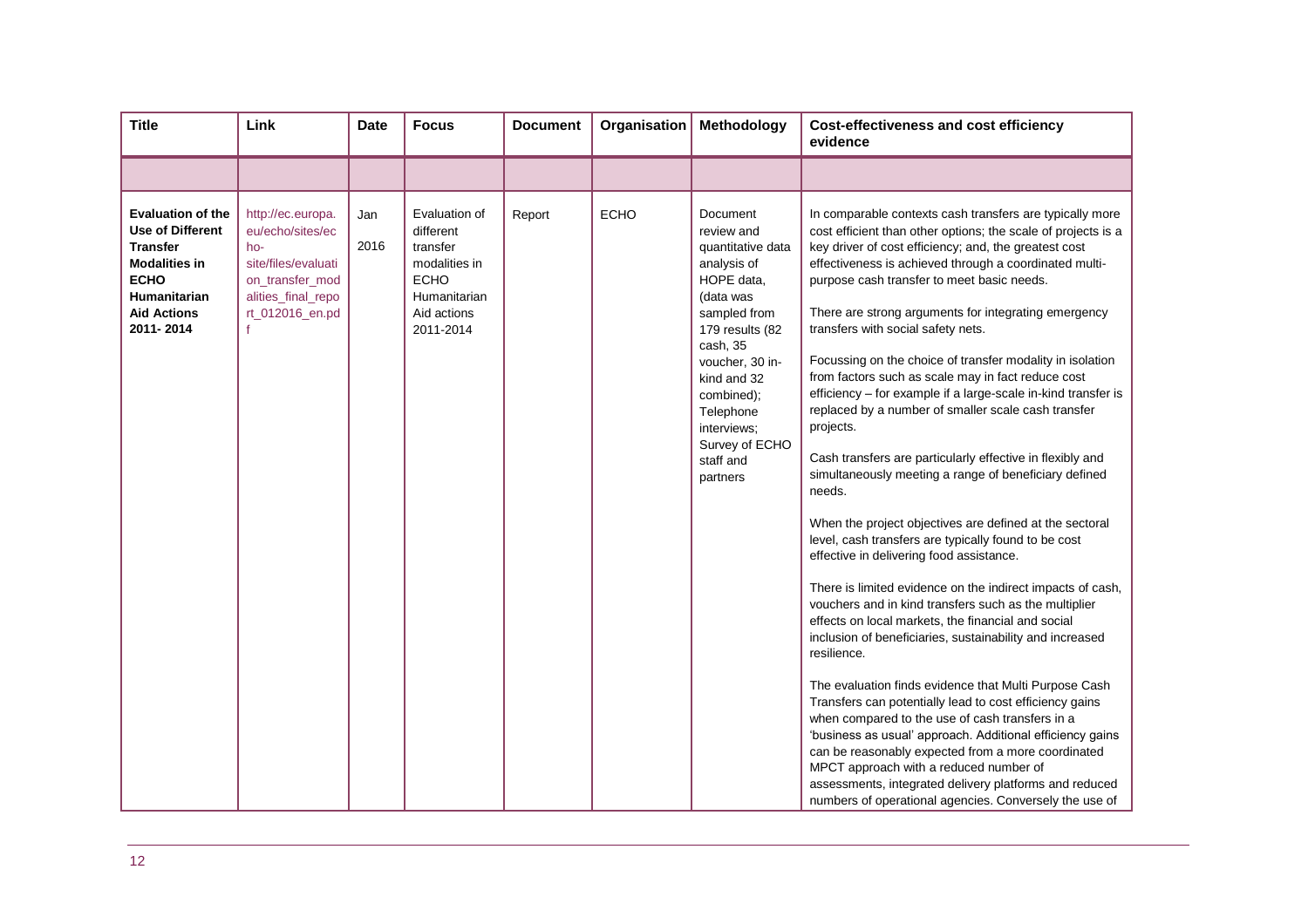| <b>Title</b>                                                                                                                                                            | Link                                                                                                                                 | <b>Date</b> | <b>Focus</b>                                                                                                       | <b>Document</b> | Organisation | Methodology                                                                                                                                                                                                                                                 | <b>Cost-effectiveness and cost efficiency</b><br>evidence                                                                                                                                                                                                                                                                                                                                                                                                                                                                                                                                                                                                                                                                                                                                                                                                                                                                                                                                                                                                                                                                                                                                                                                                                                                                                                                                                                                                                                                                                                                                                                                                       |
|-------------------------------------------------------------------------------------------------------------------------------------------------------------------------|--------------------------------------------------------------------------------------------------------------------------------------|-------------|--------------------------------------------------------------------------------------------------------------------|-----------------|--------------|-------------------------------------------------------------------------------------------------------------------------------------------------------------------------------------------------------------------------------------------------------------|-----------------------------------------------------------------------------------------------------------------------------------------------------------------------------------------------------------------------------------------------------------------------------------------------------------------------------------------------------------------------------------------------------------------------------------------------------------------------------------------------------------------------------------------------------------------------------------------------------------------------------------------------------------------------------------------------------------------------------------------------------------------------------------------------------------------------------------------------------------------------------------------------------------------------------------------------------------------------------------------------------------------------------------------------------------------------------------------------------------------------------------------------------------------------------------------------------------------------------------------------------------------------------------------------------------------------------------------------------------------------------------------------------------------------------------------------------------------------------------------------------------------------------------------------------------------------------------------------------------------------------------------------------------------|
|                                                                                                                                                                         |                                                                                                                                      |             |                                                                                                                    |                 |              |                                                                                                                                                                                                                                                             |                                                                                                                                                                                                                                                                                                                                                                                                                                                                                                                                                                                                                                                                                                                                                                                                                                                                                                                                                                                                                                                                                                                                                                                                                                                                                                                                                                                                                                                                                                                                                                                                                                                                 |
| <b>Evaluation of the</b><br><b>Use of Different</b><br><b>Transfer</b><br><b>Modalities in</b><br><b>ECHO</b><br><b>Humanitarian</b><br><b>Aid Actions</b><br>2011-2014 | http://ec.europa.<br>eu/echo/sites/ec<br>ho-<br>site/files/evaluati<br>on_transfer_mod<br>alities_final_repo<br>rt_012016_en.pd<br>f | Jan<br>2016 | Evaluation of<br>different<br>transfer<br>modalities in<br><b>ECHO</b><br>Humanitarian<br>Aid actions<br>2011-2014 | Report          | <b>ECHO</b>  | Document<br>review and<br>quantitative data<br>analysis of<br>HOPE data,<br>(data was<br>sampled from<br>179 results (82<br>cash, 35<br>voucher, 30 in-<br>kind and 32<br>combined);<br>Telephone<br>interviews;<br>Survey of ECHO<br>staff and<br>partners | In comparable contexts cash transfers are typically more<br>cost efficient than other options; the scale of projects is a<br>key driver of cost efficiency; and, the greatest cost<br>effectiveness is achieved through a coordinated multi-<br>purpose cash transfer to meet basic needs.<br>There are strong arguments for integrating emergency<br>transfers with social safety nets.<br>Focussing on the choice of transfer modality in isolation<br>from factors such as scale may in fact reduce cost<br>efficiency - for example if a large-scale in-kind transfer is<br>replaced by a number of smaller scale cash transfer<br>projects.<br>Cash transfers are particularly effective in flexibly and<br>simultaneously meeting a range of beneficiary defined<br>needs.<br>When the project objectives are defined at the sectoral<br>level, cash transfers are typically found to be cost<br>effective in delivering food assistance.<br>There is limited evidence on the indirect impacts of cash,<br>vouchers and in kind transfers such as the multiplier<br>effects on local markets, the financial and social<br>inclusion of beneficiaries, sustainability and increased<br>resilience.<br>The evaluation finds evidence that Multi Purpose Cash<br>Transfers can potentially lead to cost efficiency gains<br>when compared to the use of cash transfers in a<br>'business as usual' approach. Additional efficiency gains<br>can be reasonably expected from a more coordinated<br>MPCT approach with a reduced number of<br>assessments, integrated delivery platforms and reduced<br>numbers of operational agencies. Conversely the use of |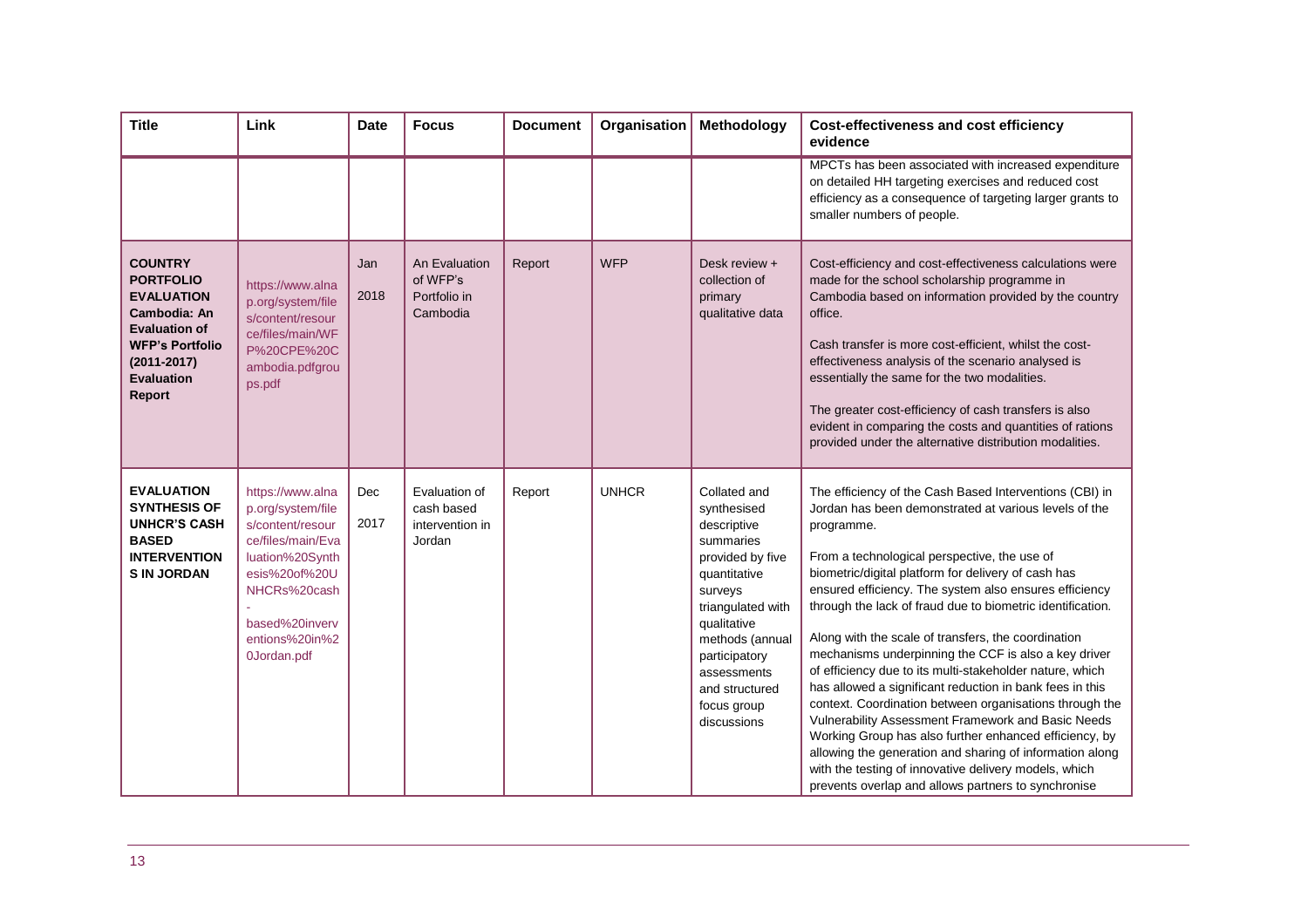| <b>Title</b>                                                                                                                                                                       | Link                                                                                                                                                                                  | <b>Date</b> | <b>Focus</b>                                             | <b>Document</b> | Organisation | Methodology                                                                                                                                                                                                                                   | <b>Cost-effectiveness and cost efficiency</b><br>evidence                                                                                                                                                                                                                                                                                                                                                                                                                                                                                                                                                                                                                                                                                                                                                                                                                                                                                                   |
|------------------------------------------------------------------------------------------------------------------------------------------------------------------------------------|---------------------------------------------------------------------------------------------------------------------------------------------------------------------------------------|-------------|----------------------------------------------------------|-----------------|--------------|-----------------------------------------------------------------------------------------------------------------------------------------------------------------------------------------------------------------------------------------------|-------------------------------------------------------------------------------------------------------------------------------------------------------------------------------------------------------------------------------------------------------------------------------------------------------------------------------------------------------------------------------------------------------------------------------------------------------------------------------------------------------------------------------------------------------------------------------------------------------------------------------------------------------------------------------------------------------------------------------------------------------------------------------------------------------------------------------------------------------------------------------------------------------------------------------------------------------------|
|                                                                                                                                                                                    |                                                                                                                                                                                       |             |                                                          |                 |              |                                                                                                                                                                                                                                               | MPCTs has been associated with increased expenditure<br>on detailed HH targeting exercises and reduced cost<br>efficiency as a consequence of targeting larger grants to<br>smaller numbers of people.                                                                                                                                                                                                                                                                                                                                                                                                                                                                                                                                                                                                                                                                                                                                                      |
| <b>COUNTRY</b><br><b>PORTFOLIO</b><br><b>EVALUATION</b><br>Cambodia: An<br><b>Evaluation of</b><br><b>WFP's Portfolio</b><br>$(2011 - 2017)$<br><b>Evaluation</b><br><b>Report</b> | https://www.alna<br>p.org/system/file<br>s/content/resour<br>ce/files/main/WF<br>P%20CPE%20C<br>ambodia.pdfgrou<br>ps.pdf                                                             | Jan<br>2018 | An Evaluation<br>of WFP's<br>Portfolio in<br>Cambodia    | Report          | <b>WFP</b>   | Desk review +<br>collection of<br>primary<br>qualitative data                                                                                                                                                                                 | Cost-efficiency and cost-effectiveness calculations were<br>made for the school scholarship programme in<br>Cambodia based on information provided by the country<br>office.<br>Cash transfer is more cost-efficient, whilst the cost-<br>effectiveness analysis of the scenario analysed is<br>essentially the same for the two modalities.<br>The greater cost-efficiency of cash transfers is also<br>evident in comparing the costs and quantities of rations<br>provided under the alternative distribution modalities.                                                                                                                                                                                                                                                                                                                                                                                                                                |
| <b>EVALUATION</b><br><b>SYNTHESIS OF</b><br><b>UNHCR'S CASH</b><br><b>BASED</b><br><b>INTERVENTION</b><br><b>S IN JORDAN</b>                                                       | https://www.alna<br>p.org/system/file<br>s/content/resour<br>ce/files/main/Eva<br>luation%20Synth<br>esis%20of%20U<br>NHCRs%20cash<br>based%20inverv<br>entions%20in%2<br>0Jordan.pdf | Dec<br>2017 | Evaluation of<br>cash based<br>intervention in<br>Jordan | Report          | <b>UNHCR</b> | Collated and<br>synthesised<br>descriptive<br>summaries<br>provided by five<br>quantitative<br>surveys<br>triangulated with<br>qualitative<br>methods (annual<br>participatory<br>assessments<br>and structured<br>focus group<br>discussions | The efficiency of the Cash Based Interventions (CBI) in<br>Jordan has been demonstrated at various levels of the<br>programme.<br>From a technological perspective, the use of<br>biometric/digital platform for delivery of cash has<br>ensured efficiency. The system also ensures efficiency<br>through the lack of fraud due to biometric identification.<br>Along with the scale of transfers, the coordination<br>mechanisms underpinning the CCF is also a key driver<br>of efficiency due to its multi-stakeholder nature, which<br>has allowed a significant reduction in bank fees in this<br>context. Coordination between organisations through the<br>Vulnerability Assessment Framework and Basic Needs<br>Working Group has also further enhanced efficiency, by<br>allowing the generation and sharing of information along<br>with the testing of innovative delivery models, which<br>prevents overlap and allows partners to synchronise |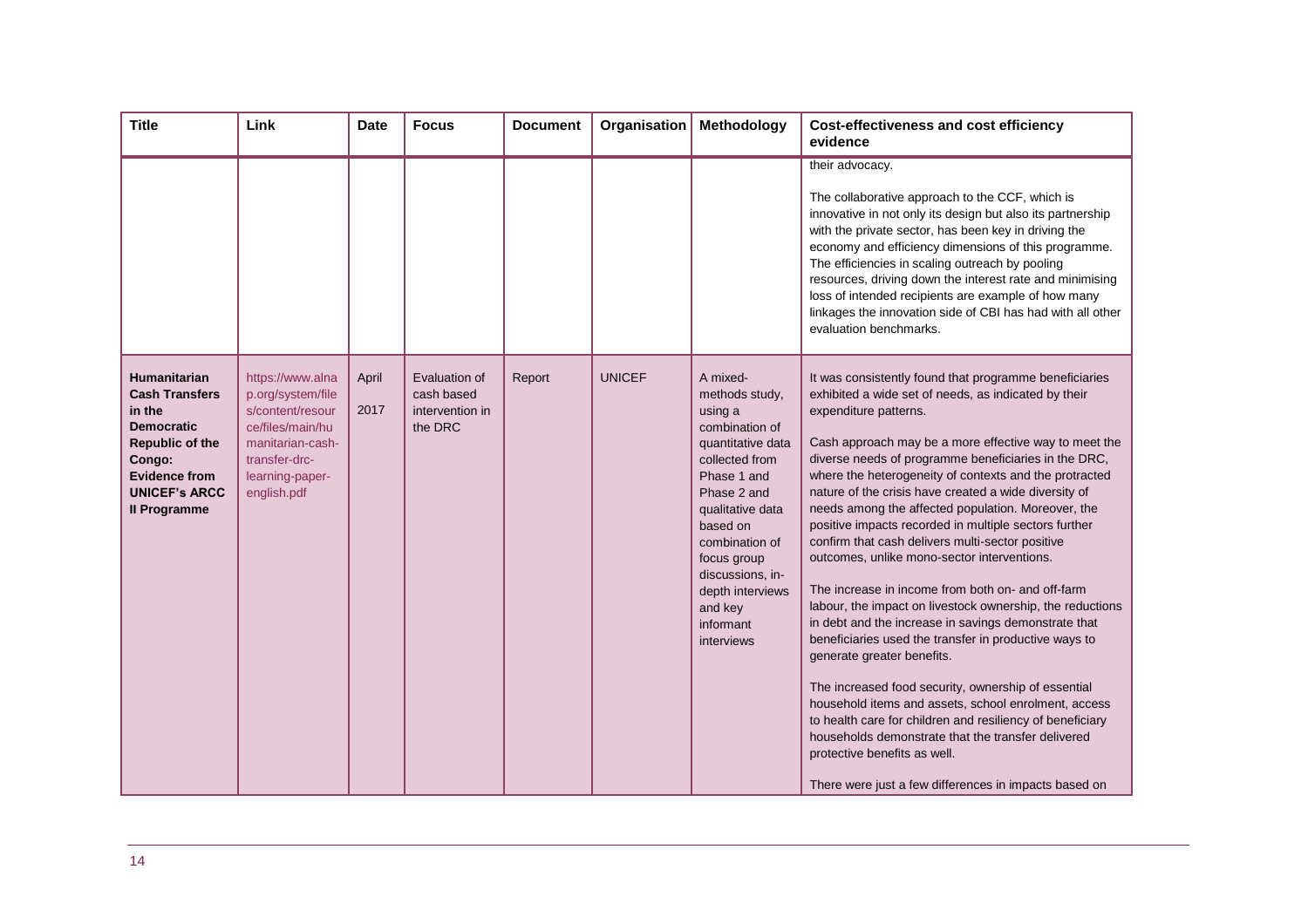| <b>Title</b>                                                                                                                                                                    | Link                                                                                                                                                 | <b>Date</b>   | <b>Focus</b>                                              | <b>Document</b> | Organisation  | Methodology                                                                                                                                                                                                                                                                 | <b>Cost-effectiveness and cost efficiency</b><br>evidence                                                                                                                                                                                                                                                                                                                                                                                                                                                                                                                                                                                                                                                                                                                                                                                                                                                                                                                                                                                                                                                                                                                                 |
|---------------------------------------------------------------------------------------------------------------------------------------------------------------------------------|------------------------------------------------------------------------------------------------------------------------------------------------------|---------------|-----------------------------------------------------------|-----------------|---------------|-----------------------------------------------------------------------------------------------------------------------------------------------------------------------------------------------------------------------------------------------------------------------------|-------------------------------------------------------------------------------------------------------------------------------------------------------------------------------------------------------------------------------------------------------------------------------------------------------------------------------------------------------------------------------------------------------------------------------------------------------------------------------------------------------------------------------------------------------------------------------------------------------------------------------------------------------------------------------------------------------------------------------------------------------------------------------------------------------------------------------------------------------------------------------------------------------------------------------------------------------------------------------------------------------------------------------------------------------------------------------------------------------------------------------------------------------------------------------------------|
|                                                                                                                                                                                 |                                                                                                                                                      |               |                                                           |                 |               |                                                                                                                                                                                                                                                                             | their advocacy.<br>The collaborative approach to the CCF, which is<br>innovative in not only its design but also its partnership<br>with the private sector, has been key in driving the<br>economy and efficiency dimensions of this programme.<br>The efficiencies in scaling outreach by pooling<br>resources, driving down the interest rate and minimising<br>loss of intended recipients are example of how many<br>linkages the innovation side of CBI has had with all other<br>evaluation benchmarks.                                                                                                                                                                                                                                                                                                                                                                                                                                                                                                                                                                                                                                                                            |
| Humanitarian<br><b>Cash Transfers</b><br>in the<br><b>Democratic</b><br><b>Republic of the</b><br>Congo:<br><b>Evidence from</b><br><b>UNICEF's ARCC</b><br><b>Il Programme</b> | https://www.alna<br>p.org/system/file<br>s/content/resour<br>ce/files/main/hu<br>manitarian-cash-<br>transfer-drc-<br>learning-paper-<br>english.pdf | April<br>2017 | Evaluation of<br>cash based<br>intervention in<br>the DRC | Report          | <b>UNICEF</b> | A mixed-<br>methods study,<br>using a<br>combination of<br>quantitative data<br>collected from<br>Phase 1 and<br>Phase 2 and<br>qualitative data<br>based on<br>combination of<br>focus group<br>discussions, in-<br>depth interviews<br>and key<br>informant<br>interviews | It was consistently found that programme beneficiaries<br>exhibited a wide set of needs, as indicated by their<br>expenditure patterns.<br>Cash approach may be a more effective way to meet the<br>diverse needs of programme beneficiaries in the DRC,<br>where the heterogeneity of contexts and the protracted<br>nature of the crisis have created a wide diversity of<br>needs among the affected population. Moreover, the<br>positive impacts recorded in multiple sectors further<br>confirm that cash delivers multi-sector positive<br>outcomes, unlike mono-sector interventions.<br>The increase in income from both on- and off-farm<br>labour, the impact on livestock ownership, the reductions<br>in debt and the increase in savings demonstrate that<br>beneficiaries used the transfer in productive ways to<br>generate greater benefits.<br>The increased food security, ownership of essential<br>household items and assets, school enrolment, access<br>to health care for children and resiliency of beneficiary<br>households demonstrate that the transfer delivered<br>protective benefits as well.<br>There were just a few differences in impacts based on |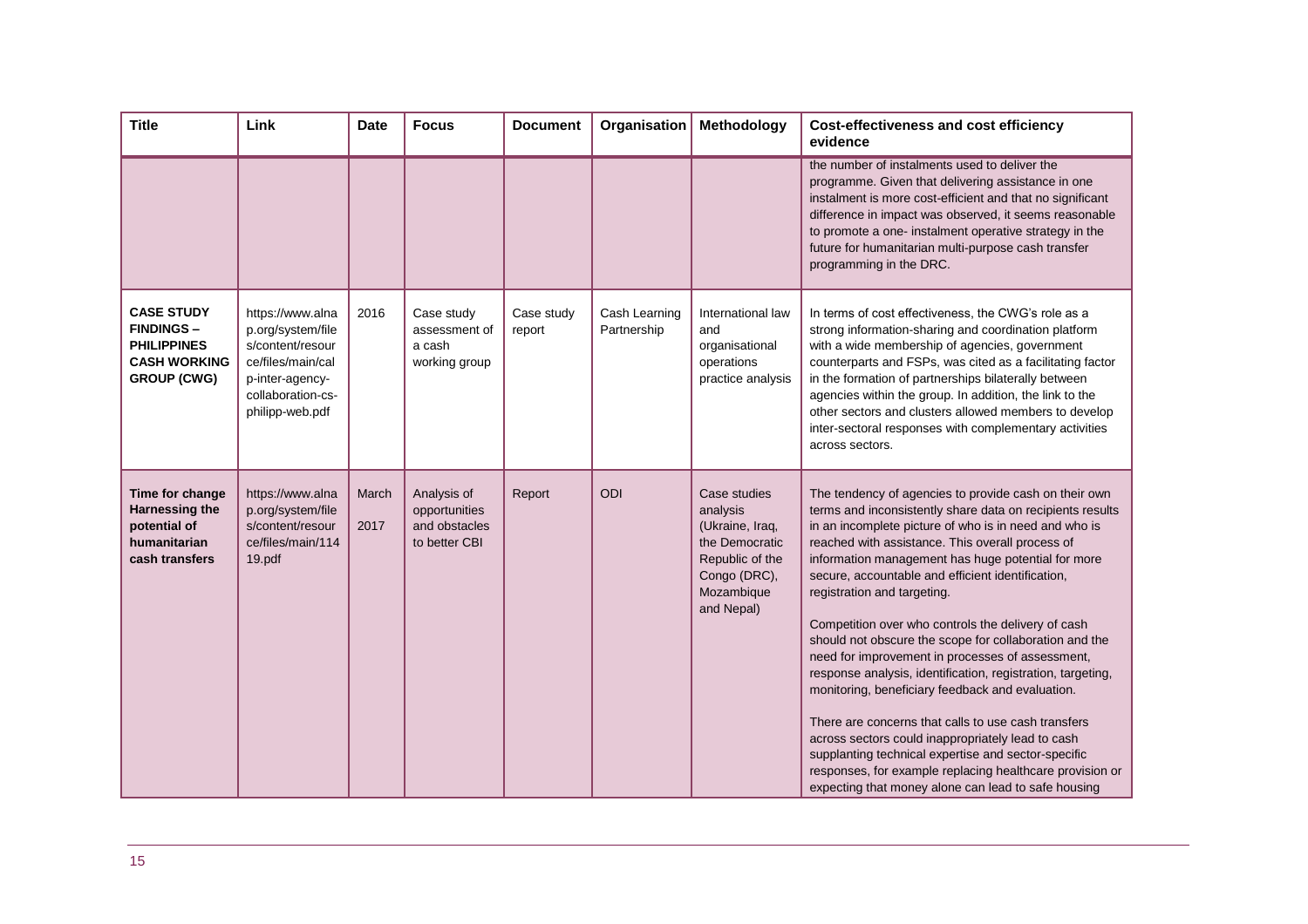| <b>Title</b>                                                                                              | Link                                                                                                                                      | <b>Date</b>   | <b>Focus</b>                                                   | <b>Document</b>      | Organisation                 | Methodology                                                                                                                  | <b>Cost-effectiveness and cost efficiency</b><br>evidence                                                                                                                                                                                                                                                                                                                                                                                                                                                                                                                                                                                                                                                                                                                                                                                                                                                                                              |
|-----------------------------------------------------------------------------------------------------------|-------------------------------------------------------------------------------------------------------------------------------------------|---------------|----------------------------------------------------------------|----------------------|------------------------------|------------------------------------------------------------------------------------------------------------------------------|--------------------------------------------------------------------------------------------------------------------------------------------------------------------------------------------------------------------------------------------------------------------------------------------------------------------------------------------------------------------------------------------------------------------------------------------------------------------------------------------------------------------------------------------------------------------------------------------------------------------------------------------------------------------------------------------------------------------------------------------------------------------------------------------------------------------------------------------------------------------------------------------------------------------------------------------------------|
|                                                                                                           |                                                                                                                                           |               |                                                                |                      |                              |                                                                                                                              | the number of instalments used to deliver the<br>programme. Given that delivering assistance in one<br>instalment is more cost-efficient and that no significant<br>difference in impact was observed, it seems reasonable<br>to promote a one- instalment operative strategy in the<br>future for humanitarian multi-purpose cash transfer<br>programming in the DRC.                                                                                                                                                                                                                                                                                                                                                                                                                                                                                                                                                                                 |
| <b>CASE STUDY</b><br><b>FINDINGS -</b><br><b>PHILIPPINES</b><br><b>CASH WORKING</b><br><b>GROUP (CWG)</b> | https://www.alna<br>p.org/system/file<br>s/content/resour<br>ce/files/main/cal<br>p-inter-agency-<br>collaboration-cs-<br>philipp-web.pdf | 2016          | Case study<br>assessment of<br>a cash<br>working group         | Case study<br>report | Cash Learning<br>Partnership | International law<br>and<br>organisational<br>operations<br>practice analysis                                                | In terms of cost effectiveness, the CWG's role as a<br>strong information-sharing and coordination platform<br>with a wide membership of agencies, government<br>counterparts and FSPs, was cited as a facilitating factor<br>in the formation of partnerships bilaterally between<br>agencies within the group. In addition, the link to the<br>other sectors and clusters allowed members to develop<br>inter-sectoral responses with complementary activities<br>across sectors.                                                                                                                                                                                                                                                                                                                                                                                                                                                                    |
| Time for change<br><b>Harnessing the</b><br>potential of<br>humanitarian<br>cash transfers                | https://www.alna<br>p.org/system/file<br>s/content/resour<br>ce/files/main/114<br>19.pdf                                                  | March<br>2017 | Analysis of<br>opportunities<br>and obstacles<br>to better CBI | Report               | ODI                          | Case studies<br>analysis<br>(Ukraine, Iraq,<br>the Democratic<br>Republic of the<br>Congo (DRC),<br>Mozambique<br>and Nepal) | The tendency of agencies to provide cash on their own<br>terms and inconsistently share data on recipients results<br>in an incomplete picture of who is in need and who is<br>reached with assistance. This overall process of<br>information management has huge potential for more<br>secure, accountable and efficient identification,<br>registration and targeting.<br>Competition over who controls the delivery of cash<br>should not obscure the scope for collaboration and the<br>need for improvement in processes of assessment,<br>response analysis, identification, registration, targeting,<br>monitoring, beneficiary feedback and evaluation.<br>There are concerns that calls to use cash transfers<br>across sectors could inappropriately lead to cash<br>supplanting technical expertise and sector-specific<br>responses, for example replacing healthcare provision or<br>expecting that money alone can lead to safe housing |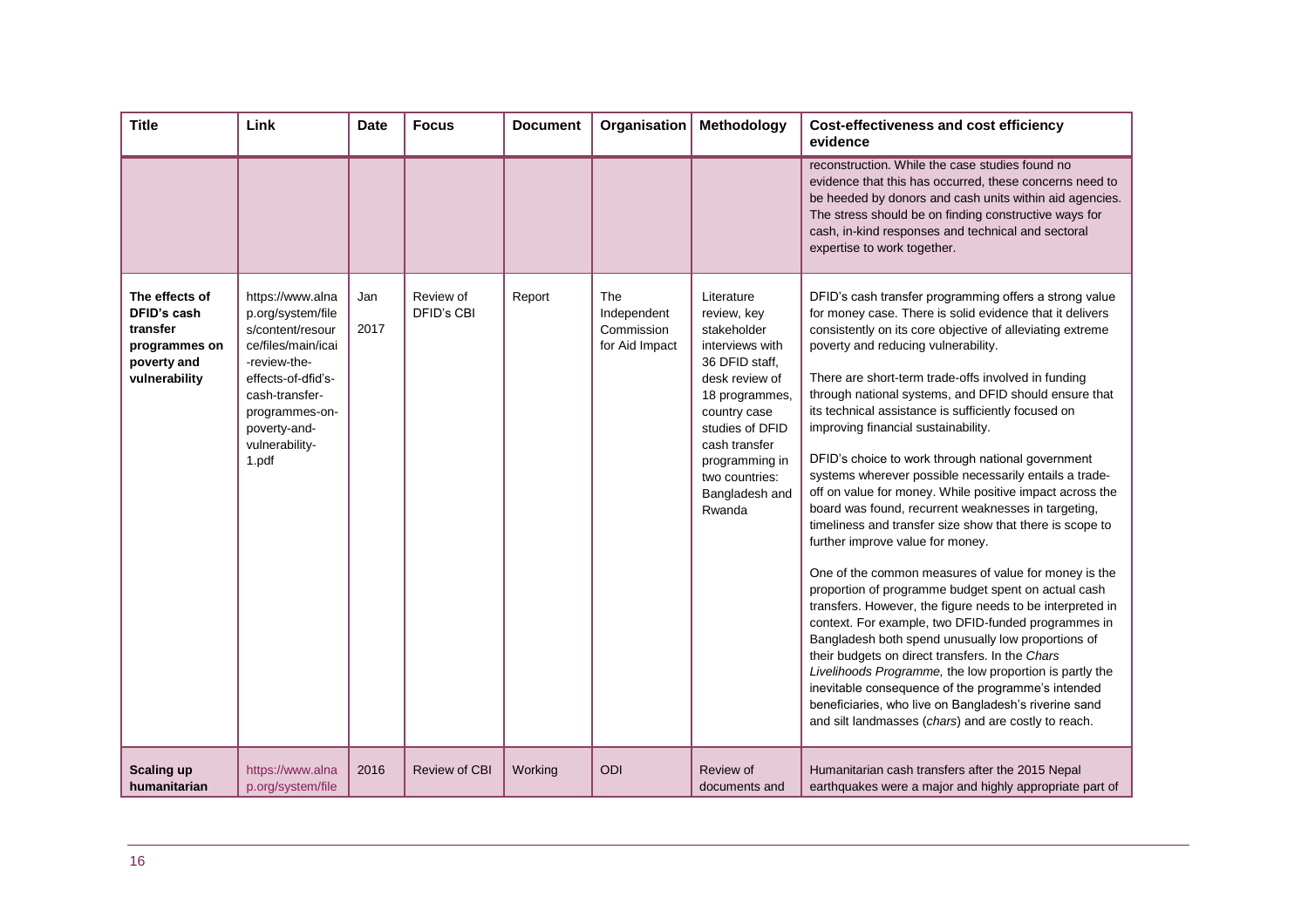| <b>Title</b>                                                                               | Link                                                                                                                                                                                                 | <b>Date</b> | <b>Focus</b>            | <b>Document</b> | Organisation                                              | Methodology                                                                                                                                                                                                                           | <b>Cost-effectiveness and cost efficiency</b><br>evidence                                                                                                                                                                                                                                                                                                                                                                                                                                                                                                                                                                                                                                                                                                                                                                                                                                                                                                                                                                                                                                                                                                                                                                                                                                                                                            |
|--------------------------------------------------------------------------------------------|------------------------------------------------------------------------------------------------------------------------------------------------------------------------------------------------------|-------------|-------------------------|-----------------|-----------------------------------------------------------|---------------------------------------------------------------------------------------------------------------------------------------------------------------------------------------------------------------------------------------|------------------------------------------------------------------------------------------------------------------------------------------------------------------------------------------------------------------------------------------------------------------------------------------------------------------------------------------------------------------------------------------------------------------------------------------------------------------------------------------------------------------------------------------------------------------------------------------------------------------------------------------------------------------------------------------------------------------------------------------------------------------------------------------------------------------------------------------------------------------------------------------------------------------------------------------------------------------------------------------------------------------------------------------------------------------------------------------------------------------------------------------------------------------------------------------------------------------------------------------------------------------------------------------------------------------------------------------------------|
|                                                                                            |                                                                                                                                                                                                      |             |                         |                 |                                                           |                                                                                                                                                                                                                                       | reconstruction. While the case studies found no<br>evidence that this has occurred, these concerns need to<br>be heeded by donors and cash units within aid agencies.<br>The stress should be on finding constructive ways for<br>cash, in-kind responses and technical and sectoral<br>expertise to work together.                                                                                                                                                                                                                                                                                                                                                                                                                                                                                                                                                                                                                                                                                                                                                                                                                                                                                                                                                                                                                                  |
| The effects of<br>DFID's cash<br>transfer<br>programmes on<br>poverty and<br>vulnerability | https://www.alna<br>p.org/system/file<br>s/content/resour<br>ce/files/main/icai<br>-review-the-<br>effects-of-dfid's-<br>cash-transfer-<br>programmes-on-<br>poverty-and-<br>vulnerability-<br>1.pdf | Jan<br>2017 | Review of<br>DFID's CBI | Report          | <b>The</b><br>Independent<br>Commission<br>for Aid Impact | Literature<br>review, key<br>stakeholder<br>interviews with<br>36 DFID staff.<br>desk review of<br>18 programmes,<br>country case<br>studies of DFID<br>cash transfer<br>programming in<br>two countries:<br>Bangladesh and<br>Rwanda | DFID's cash transfer programming offers a strong value<br>for money case. There is solid evidence that it delivers<br>consistently on its core objective of alleviating extreme<br>poverty and reducing vulnerability.<br>There are short-term trade-offs involved in funding<br>through national systems, and DFID should ensure that<br>its technical assistance is sufficiently focused on<br>improving financial sustainability.<br>DFID's choice to work through national government<br>systems wherever possible necessarily entails a trade-<br>off on value for money. While positive impact across the<br>board was found, recurrent weaknesses in targeting,<br>timeliness and transfer size show that there is scope to<br>further improve value for money.<br>One of the common measures of value for money is the<br>proportion of programme budget spent on actual cash<br>transfers. However, the figure needs to be interpreted in<br>context. For example, two DFID-funded programmes in<br>Bangladesh both spend unusually low proportions of<br>their budgets on direct transfers. In the Chars<br>Livelihoods Programme, the low proportion is partly the<br>inevitable consequence of the programme's intended<br>beneficiaries, who live on Bangladesh's riverine sand<br>and silt landmasses (chars) and are costly to reach. |
| <b>Scaling up</b><br>humanitarian                                                          | https://www.alna<br>p.org/system/file                                                                                                                                                                | 2016        | <b>Review of CBI</b>    | Working         | <b>ODI</b>                                                | Review of<br>documents and                                                                                                                                                                                                            | Humanitarian cash transfers after the 2015 Nepal<br>earthquakes were a major and highly appropriate part of                                                                                                                                                                                                                                                                                                                                                                                                                                                                                                                                                                                                                                                                                                                                                                                                                                                                                                                                                                                                                                                                                                                                                                                                                                          |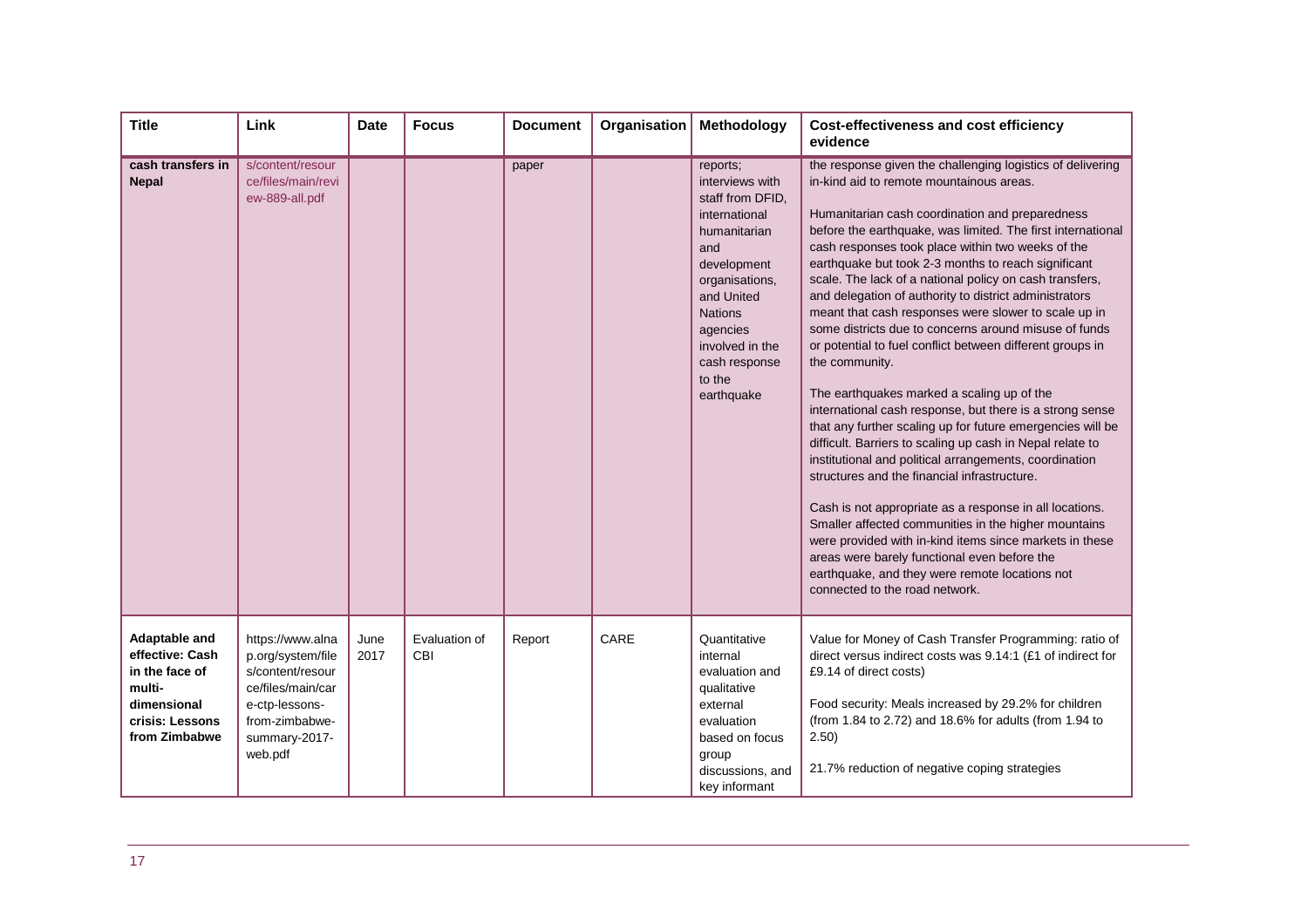| <b>Title</b>                                                                                                    | Link                                                                                                                                           | <b>Date</b>  | <b>Focus</b>         | <b>Document</b> | Organisation | Methodology                                                                                                                                                                                                                      | <b>Cost-effectiveness and cost efficiency</b><br>evidence                                                                                                                                                                                                                                                                                                                                                                                                                                                                                                                                                                                                                                                                                                                                                                                                                                                                                                                                                                                                                                                                                                                                                                                                                                                                  |
|-----------------------------------------------------------------------------------------------------------------|------------------------------------------------------------------------------------------------------------------------------------------------|--------------|----------------------|-----------------|--------------|----------------------------------------------------------------------------------------------------------------------------------------------------------------------------------------------------------------------------------|----------------------------------------------------------------------------------------------------------------------------------------------------------------------------------------------------------------------------------------------------------------------------------------------------------------------------------------------------------------------------------------------------------------------------------------------------------------------------------------------------------------------------------------------------------------------------------------------------------------------------------------------------------------------------------------------------------------------------------------------------------------------------------------------------------------------------------------------------------------------------------------------------------------------------------------------------------------------------------------------------------------------------------------------------------------------------------------------------------------------------------------------------------------------------------------------------------------------------------------------------------------------------------------------------------------------------|
| cash transfers in<br><b>Nepal</b>                                                                               | s/content/resour<br>ce/files/main/revi<br>ew-889-all.pdf                                                                                       |              |                      | paper           |              | reports;<br>interviews with<br>staff from DFID,<br>international<br>humanitarian<br>and<br>development<br>organisations,<br>and United<br><b>Nations</b><br>agencies<br>involved in the<br>cash response<br>to the<br>earthquake | the response given the challenging logistics of delivering<br>in-kind aid to remote mountainous areas.<br>Humanitarian cash coordination and preparedness<br>before the earthquake, was limited. The first international<br>cash responses took place within two weeks of the<br>earthquake but took 2-3 months to reach significant<br>scale. The lack of a national policy on cash transfers,<br>and delegation of authority to district administrators<br>meant that cash responses were slower to scale up in<br>some districts due to concerns around misuse of funds<br>or potential to fuel conflict between different groups in<br>the community.<br>The earthquakes marked a scaling up of the<br>international cash response, but there is a strong sense<br>that any further scaling up for future emergencies will be<br>difficult. Barriers to scaling up cash in Nepal relate to<br>institutional and political arrangements, coordination<br>structures and the financial infrastructure.<br>Cash is not appropriate as a response in all locations.<br>Smaller affected communities in the higher mountains<br>were provided with in-kind items since markets in these<br>areas were barely functional even before the<br>earthquake, and they were remote locations not<br>connected to the road network. |
| Adaptable and<br>effective: Cash<br>in the face of<br>multi-<br>dimensional<br>crisis: Lessons<br>from Zimbabwe | https://www.alna<br>p.org/system/file<br>s/content/resour<br>ce/files/main/car<br>e-ctp-lessons-<br>from-zimbabwe-<br>summary-2017-<br>web.pdf | June<br>2017 | Evaluation of<br>CBI | Report          | CARE         | Quantitative<br>internal<br>evaluation and<br>qualitative<br>external<br>evaluation<br>based on focus<br>group<br>discussions, and<br>key informant                                                                              | Value for Money of Cash Transfer Programming: ratio of<br>direct versus indirect costs was 9.14:1 (£1 of indirect for<br>£9.14 of direct costs)<br>Food security: Meals increased by 29.2% for children<br>(from 1.84 to 2.72) and 18.6% for adults (from 1.94 to<br>2.50)<br>21.7% reduction of negative coping strategies                                                                                                                                                                                                                                                                                                                                                                                                                                                                                                                                                                                                                                                                                                                                                                                                                                                                                                                                                                                                |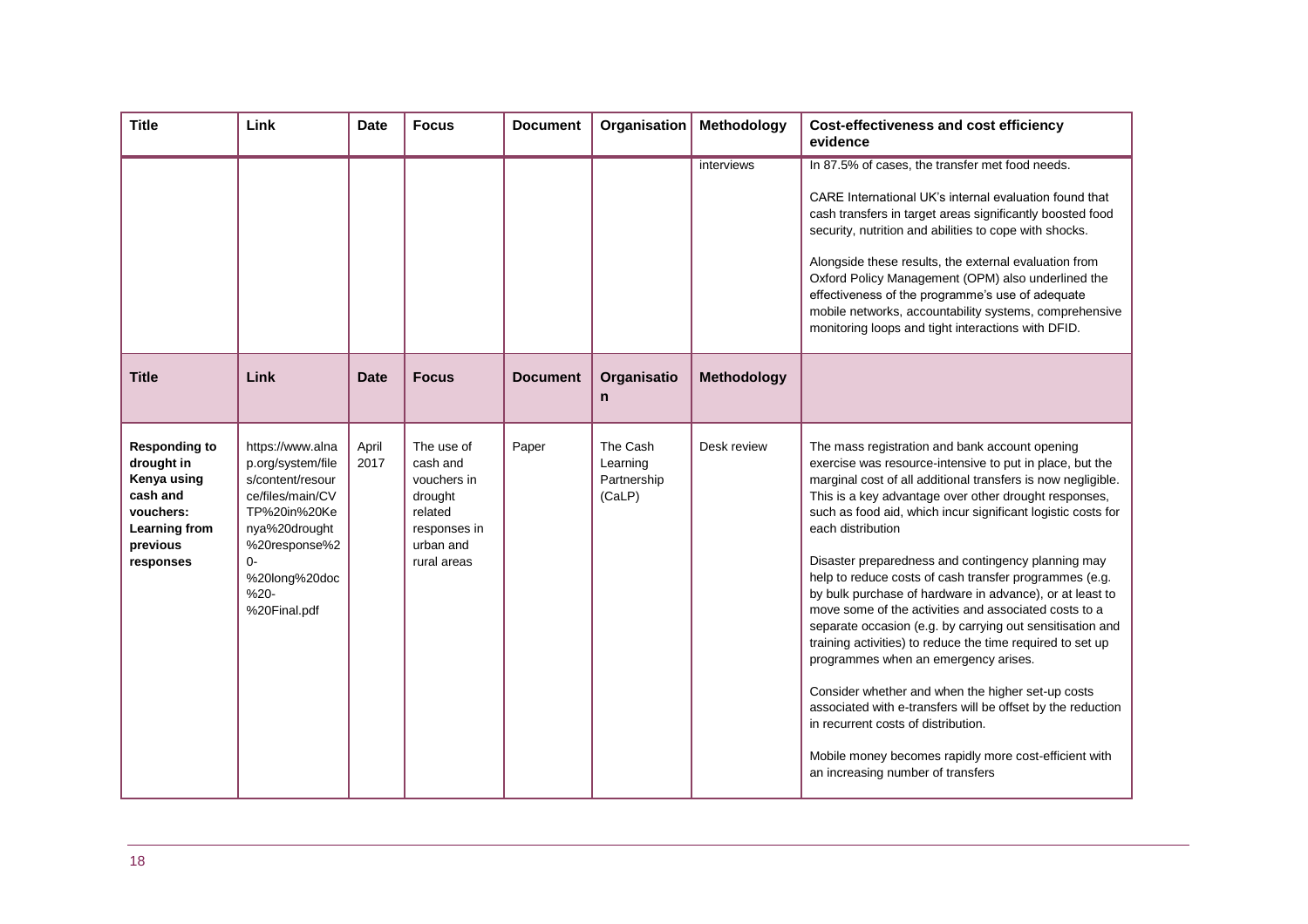| <b>Title</b>                                                                                                         | Link                                                                                                                                                                             | <b>Date</b>   | <b>Focus</b>                                                                                            | <b>Document</b> | Organisation                                  | Methodology | <b>Cost-effectiveness and cost efficiency</b><br>evidence                                                                                                                                                                                                                                                                                                                                                                                                                                                                                                                                                                                                                                                                                                                                                                                                                                                                                                                                 |
|----------------------------------------------------------------------------------------------------------------------|----------------------------------------------------------------------------------------------------------------------------------------------------------------------------------|---------------|---------------------------------------------------------------------------------------------------------|-----------------|-----------------------------------------------|-------------|-------------------------------------------------------------------------------------------------------------------------------------------------------------------------------------------------------------------------------------------------------------------------------------------------------------------------------------------------------------------------------------------------------------------------------------------------------------------------------------------------------------------------------------------------------------------------------------------------------------------------------------------------------------------------------------------------------------------------------------------------------------------------------------------------------------------------------------------------------------------------------------------------------------------------------------------------------------------------------------------|
|                                                                                                                      |                                                                                                                                                                                  |               |                                                                                                         |                 |                                               | interviews  | In 87.5% of cases, the transfer met food needs.<br>CARE International UK's internal evaluation found that<br>cash transfers in target areas significantly boosted food<br>security, nutrition and abilities to cope with shocks.<br>Alongside these results, the external evaluation from<br>Oxford Policy Management (OPM) also underlined the<br>effectiveness of the programme's use of adequate<br>mobile networks, accountability systems, comprehensive<br>monitoring loops and tight interactions with DFID.                                                                                                                                                                                                                                                                                                                                                                                                                                                                       |
| <b>Title</b>                                                                                                         | Link                                                                                                                                                                             | <b>Date</b>   | <b>Focus</b>                                                                                            | <b>Document</b> | Organisatio<br>n                              | Methodology |                                                                                                                                                                                                                                                                                                                                                                                                                                                                                                                                                                                                                                                                                                                                                                                                                                                                                                                                                                                           |
| <b>Responding to</b><br>drought in<br>Kenya using<br>cash and<br>vouchers:<br>Learning from<br>previous<br>responses | https://www.alna<br>p.org/system/file<br>s/content/resour<br>ce/files/main/CV<br>TP%20in%20Ke<br>nya%20drought<br>%20response%2<br>O-<br>%20long%20doc<br>$%20-$<br>%20Final.pdf | April<br>2017 | The use of<br>cash and<br>vouchers in<br>drought<br>related<br>responses in<br>urban and<br>rural areas | Paper           | The Cash<br>Learning<br>Partnership<br>(CaLP) | Desk review | The mass registration and bank account opening<br>exercise was resource-intensive to put in place, but the<br>marginal cost of all additional transfers is now negligible.<br>This is a key advantage over other drought responses,<br>such as food aid, which incur significant logistic costs for<br>each distribution<br>Disaster preparedness and contingency planning may<br>help to reduce costs of cash transfer programmes (e.g.<br>by bulk purchase of hardware in advance), or at least to<br>move some of the activities and associated costs to a<br>separate occasion (e.g. by carrying out sensitisation and<br>training activities) to reduce the time required to set up<br>programmes when an emergency arises.<br>Consider whether and when the higher set-up costs<br>associated with e-transfers will be offset by the reduction<br>in recurrent costs of distribution.<br>Mobile money becomes rapidly more cost-efficient with<br>an increasing number of transfers |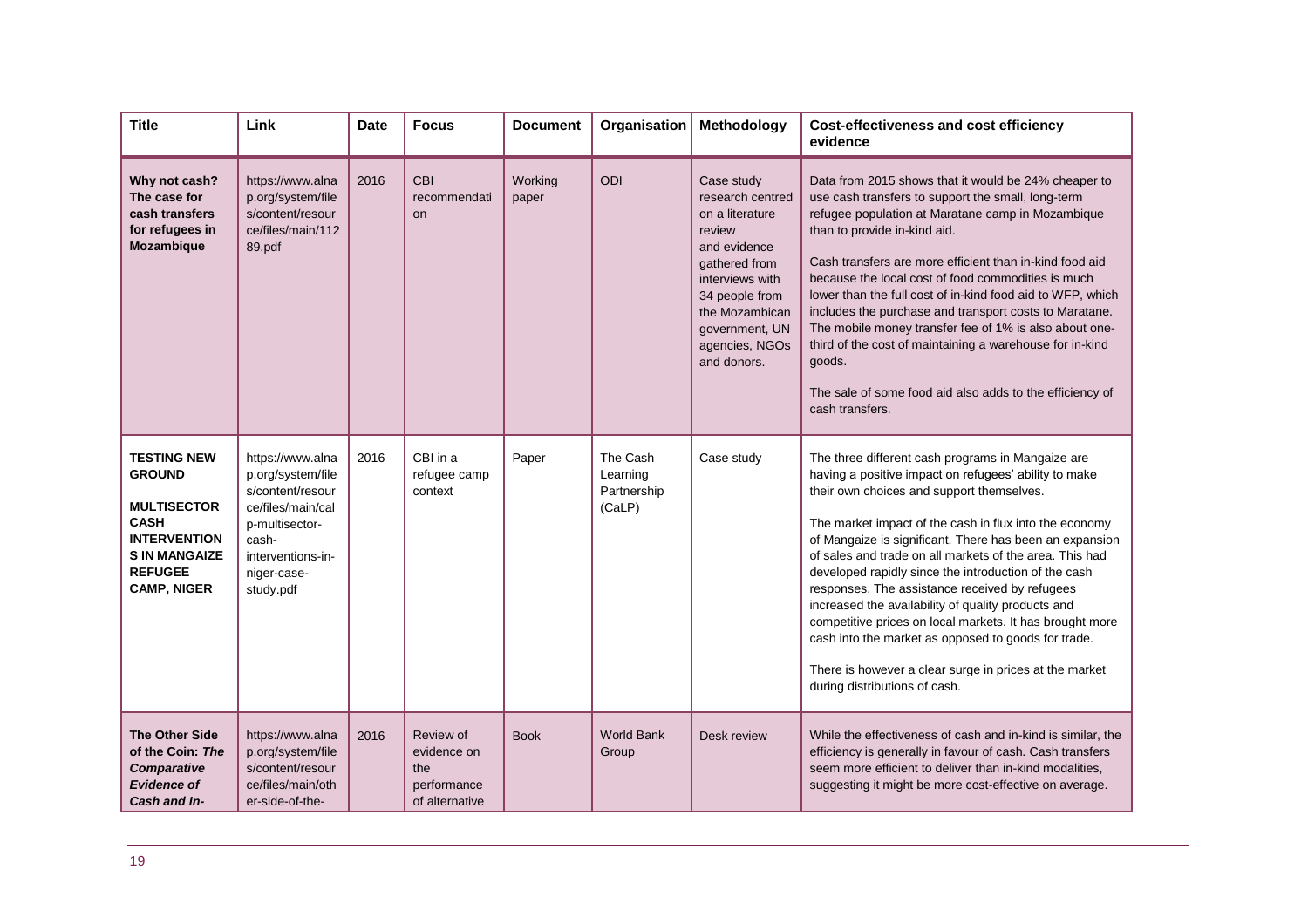| <b>Title</b>                                                                                                                                                    | Link                                                                                                                                                       | <b>Date</b> | <b>Focus</b>                                                     | <b>Document</b>  | Organisation                                  | Methodology                                                                                                                                                                                            | Cost-effectiveness and cost efficiency<br>evidence                                                                                                                                                                                                                                                                                                                                                                                                                                                                                                                                                                                                                                                                    |
|-----------------------------------------------------------------------------------------------------------------------------------------------------------------|------------------------------------------------------------------------------------------------------------------------------------------------------------|-------------|------------------------------------------------------------------|------------------|-----------------------------------------------|--------------------------------------------------------------------------------------------------------------------------------------------------------------------------------------------------------|-----------------------------------------------------------------------------------------------------------------------------------------------------------------------------------------------------------------------------------------------------------------------------------------------------------------------------------------------------------------------------------------------------------------------------------------------------------------------------------------------------------------------------------------------------------------------------------------------------------------------------------------------------------------------------------------------------------------------|
| Why not cash?<br>The case for<br>cash transfers<br>for refugees in<br><b>Mozambique</b>                                                                         | https://www.alna<br>p.org/system/file<br>s/content/resour<br>ce/files/main/112<br>89.pdf                                                                   | 2016        | <b>CBI</b><br>recommendati<br><b>on</b>                          | Working<br>paper | ODI                                           | Case study<br>research centred<br>on a literature<br>review<br>and evidence<br>gathered from<br>interviews with<br>34 people from<br>the Mozambican<br>government, UN<br>agencies, NGOs<br>and donors. | Data from 2015 shows that it would be 24% cheaper to<br>use cash transfers to support the small, long-term<br>refugee population at Maratane camp in Mozambique<br>than to provide in-kind aid.<br>Cash transfers are more efficient than in-kind food aid<br>because the local cost of food commodities is much<br>lower than the full cost of in-kind food aid to WFP, which<br>includes the purchase and transport costs to Maratane.<br>The mobile money transfer fee of 1% is also about one-<br>third of the cost of maintaining a warehouse for in-kind<br>goods.<br>The sale of some food aid also adds to the efficiency of<br>cash transfers.                                                               |
| <b>TESTING NEW</b><br><b>GROUND</b><br><b>MULTISECTOR</b><br><b>CASH</b><br><b>INTERVENTION</b><br><b>S IN MANGAIZE</b><br><b>REFUGEE</b><br><b>CAMP, NIGER</b> | https://www.alna<br>p.org/system/file<br>s/content/resour<br>ce/files/main/cal<br>p-multisector-<br>cash-<br>interventions-in-<br>niger-case-<br>study.pdf | 2016        | CBI in a<br>refugee camp<br>context                              | Paper            | The Cash<br>Learning<br>Partnership<br>(CaLP) | Case study                                                                                                                                                                                             | The three different cash programs in Mangaize are<br>having a positive impact on refugees' ability to make<br>their own choices and support themselves.<br>The market impact of the cash in flux into the economy<br>of Mangaize is significant. There has been an expansion<br>of sales and trade on all markets of the area. This had<br>developed rapidly since the introduction of the cash<br>responses. The assistance received by refugees<br>increased the availability of quality products and<br>competitive prices on local markets. It has brought more<br>cash into the market as opposed to goods for trade.<br>There is however a clear surge in prices at the market<br>during distributions of cash. |
| <b>The Other Side</b><br>of the Coin: The<br><b>Comparative</b><br><b>Evidence of</b><br>Cash and In-                                                           | https://www.alna<br>p.org/system/file<br>s/content/resour<br>ce/files/main/oth<br>er-side-of-the-                                                          | 2016        | Review of<br>evidence on<br>the<br>performance<br>of alternative | <b>Book</b>      | <b>World Bank</b><br>Group                    | Desk review                                                                                                                                                                                            | While the effectiveness of cash and in-kind is similar, the<br>efficiency is generally in favour of cash. Cash transfers<br>seem more efficient to deliver than in-kind modalities,<br>suggesting it might be more cost-effective on average.                                                                                                                                                                                                                                                                                                                                                                                                                                                                         |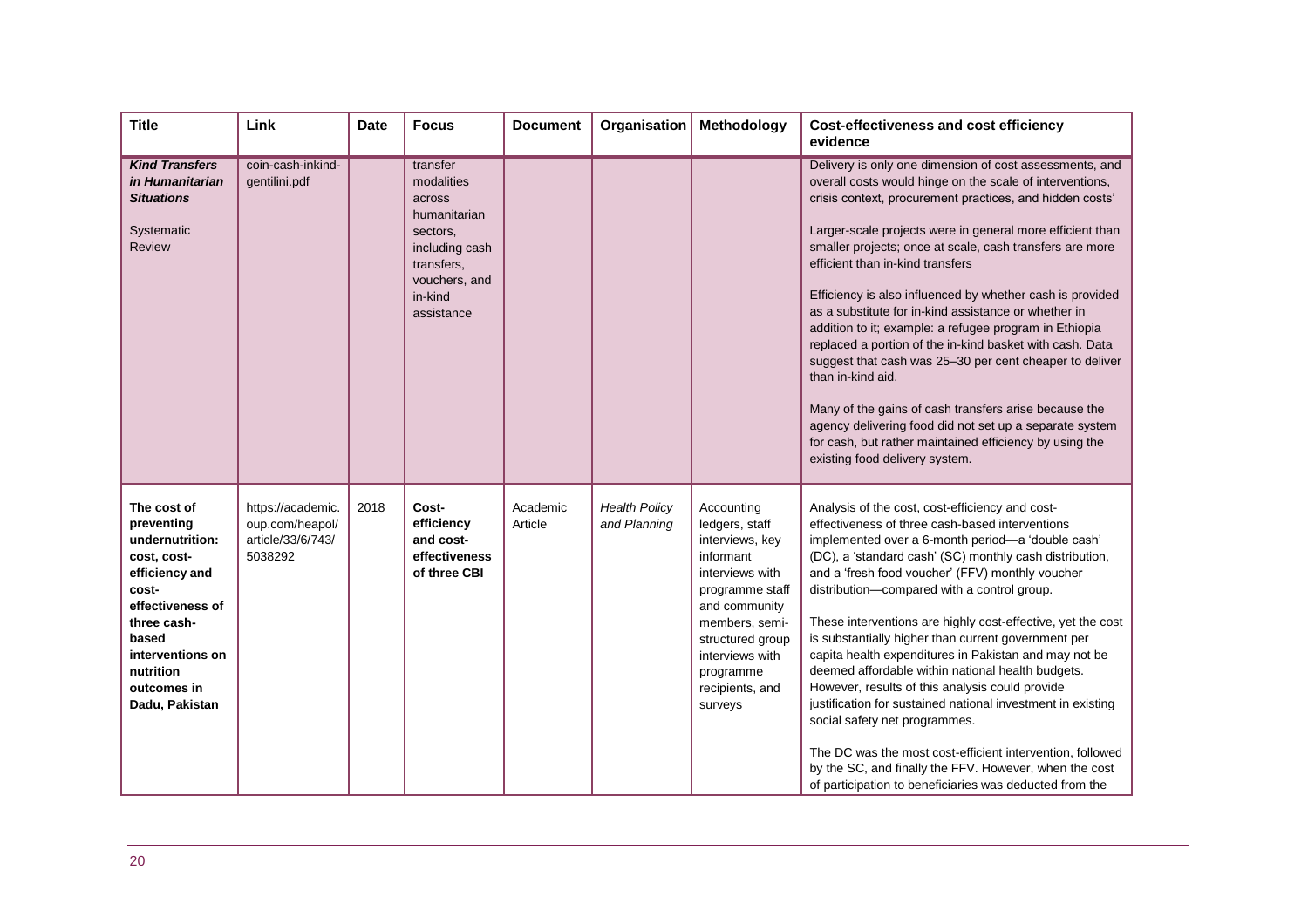| <b>Title</b>                                                                                                                                                                                         | Link                                                                 | <b>Date</b> | <b>Focus</b>                                                                                                                           | <b>Document</b>     | Organisation                         | Methodology                                                                                                                                                                                                             | <b>Cost-effectiveness and cost efficiency</b><br>evidence                                                                                                                                                                                                                                                                                                                                                                                                                                                                                                                                                                                                                                                                                                                                                                                                                                      |
|------------------------------------------------------------------------------------------------------------------------------------------------------------------------------------------------------|----------------------------------------------------------------------|-------------|----------------------------------------------------------------------------------------------------------------------------------------|---------------------|--------------------------------------|-------------------------------------------------------------------------------------------------------------------------------------------------------------------------------------------------------------------------|------------------------------------------------------------------------------------------------------------------------------------------------------------------------------------------------------------------------------------------------------------------------------------------------------------------------------------------------------------------------------------------------------------------------------------------------------------------------------------------------------------------------------------------------------------------------------------------------------------------------------------------------------------------------------------------------------------------------------------------------------------------------------------------------------------------------------------------------------------------------------------------------|
| <b>Kind Transfers</b><br>in Humanitarian<br><b>Situations</b><br>Systematic<br><b>Review</b>                                                                                                         | coin-cash-inkind-<br>gentilini.pdf                                   |             | transfer<br>modalities<br>across<br>humanitarian<br>sectors,<br>including cash<br>transfers,<br>vouchers, and<br>in-kind<br>assistance |                     |                                      |                                                                                                                                                                                                                         | Delivery is only one dimension of cost assessments, and<br>overall costs would hinge on the scale of interventions,<br>crisis context, procurement practices, and hidden costs'<br>Larger-scale projects were in general more efficient than<br>smaller projects; once at scale, cash transfers are more<br>efficient than in-kind transfers<br>Efficiency is also influenced by whether cash is provided<br>as a substitute for in-kind assistance or whether in<br>addition to it; example: a refugee program in Ethiopia<br>replaced a portion of the in-kind basket with cash. Data<br>suggest that cash was 25-30 per cent cheaper to deliver<br>than in-kind aid.<br>Many of the gains of cash transfers arise because the<br>agency delivering food did not set up a separate system<br>for cash, but rather maintained efficiency by using the<br>existing food delivery system.       |
| The cost of<br>preventing<br>undernutrition:<br>cost, cost-<br>efficiency and<br>cost-<br>effectiveness of<br>three cash-<br>based<br>interventions on<br>nutrition<br>outcomes in<br>Dadu, Pakistan | https://academic.<br>oup.com/heapol/<br>article/33/6/743/<br>5038292 | 2018        | Cost-<br>efficiency<br>and cost-<br>effectiveness<br>of three CBI                                                                      | Academic<br>Article | <b>Health Policy</b><br>and Planning | Accounting<br>ledgers, staff<br>interviews, key<br>informant<br>interviews with<br>programme staff<br>and community<br>members, semi-<br>structured group<br>interviews with<br>programme<br>recipients, and<br>surveys | Analysis of the cost, cost-efficiency and cost-<br>effectiveness of three cash-based interventions<br>implemented over a 6-month period-a 'double cash'<br>(DC), a 'standard cash' (SC) monthly cash distribution,<br>and a 'fresh food voucher' (FFV) monthly voucher<br>distribution-compared with a control group.<br>These interventions are highly cost-effective, yet the cost<br>is substantially higher than current government per<br>capita health expenditures in Pakistan and may not be<br>deemed affordable within national health budgets.<br>However, results of this analysis could provide<br>justification for sustained national investment in existing<br>social safety net programmes.<br>The DC was the most cost-efficient intervention, followed<br>by the SC, and finally the FFV. However, when the cost<br>of participation to beneficiaries was deducted from the |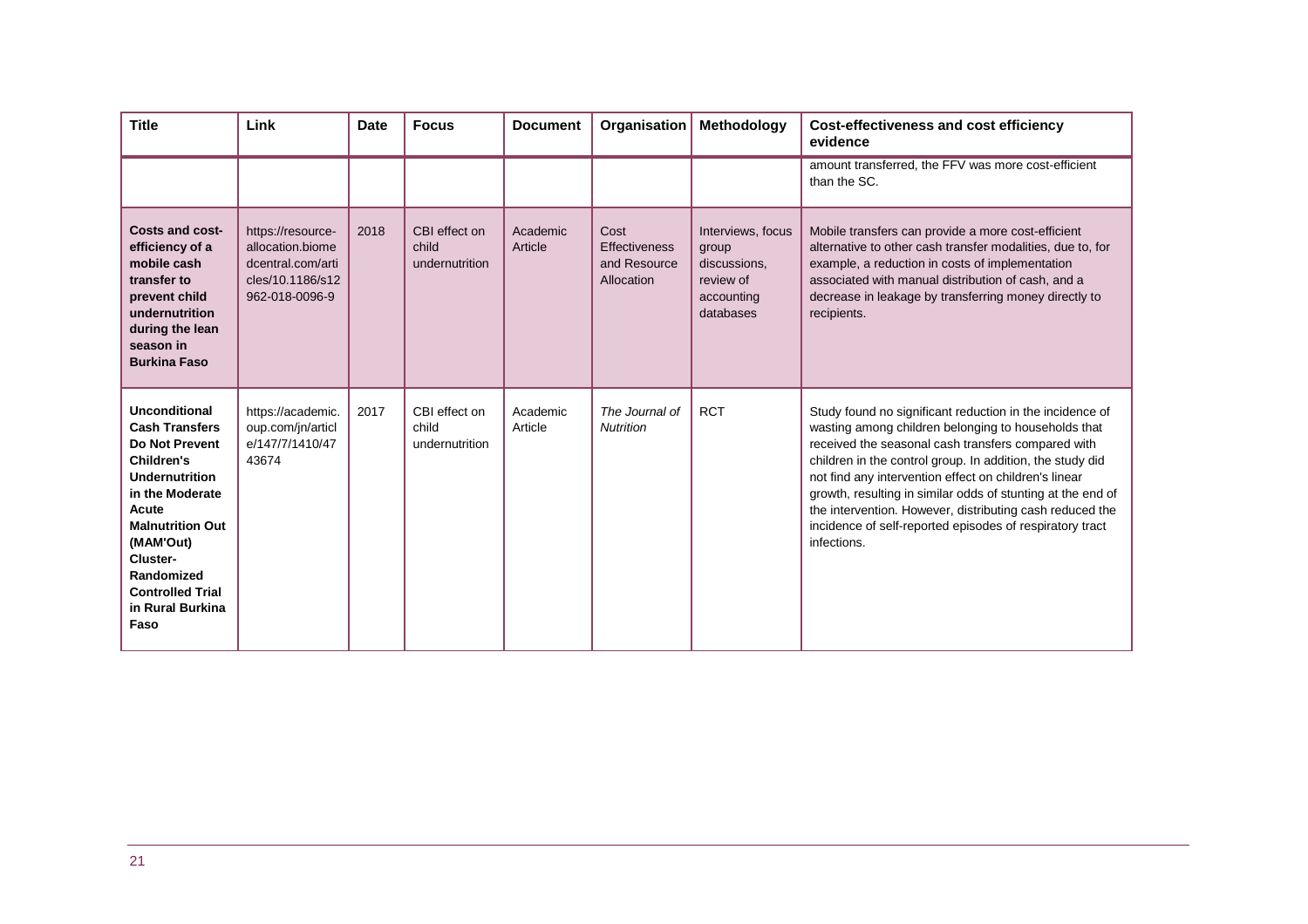| <b>Title</b>                                                                                                                                                                                                                                                              | Link                                                                                             | <b>Date</b> | <b>Focus</b>                             | <b>Document</b>     | Organisation                                        | Methodology                                                                        | Cost-effectiveness and cost efficiency<br>evidence                                                                                                                                                                                                                                                                                                                                                                                                                                                |
|---------------------------------------------------------------------------------------------------------------------------------------------------------------------------------------------------------------------------------------------------------------------------|--------------------------------------------------------------------------------------------------|-------------|------------------------------------------|---------------------|-----------------------------------------------------|------------------------------------------------------------------------------------|---------------------------------------------------------------------------------------------------------------------------------------------------------------------------------------------------------------------------------------------------------------------------------------------------------------------------------------------------------------------------------------------------------------------------------------------------------------------------------------------------|
|                                                                                                                                                                                                                                                                           |                                                                                                  |             |                                          |                     |                                                     |                                                                                    | amount transferred, the FFV was more cost-efficient<br>than the SC.                                                                                                                                                                                                                                                                                                                                                                                                                               |
| <b>Costs and cost-</b><br>efficiency of a<br>mobile cash<br>transfer to<br>prevent child<br>undernutrition<br>during the lean<br>season in<br><b>Burkina Faso</b>                                                                                                         | https://resource-<br>allocation.biome<br>dcentral.com/arti<br>cles/10.1186/s12<br>962-018-0096-9 | 2018        | CBI effect on<br>child<br>undernutrition | Academic<br>Article | Cost<br>Effectiveness<br>and Resource<br>Allocation | Interviews, focus<br>group<br>discussions,<br>review of<br>accounting<br>databases | Mobile transfers can provide a more cost-efficient<br>alternative to other cash transfer modalities, due to, for<br>example, a reduction in costs of implementation<br>associated with manual distribution of cash, and a<br>decrease in leakage by transferring money directly to<br>recipients.                                                                                                                                                                                                 |
| <b>Unconditional</b><br><b>Cash Transfers</b><br><b>Do Not Prevent</b><br><b>Children's</b><br><b>Undernutrition</b><br>in the Moderate<br>Acute<br><b>Malnutrition Out</b><br>(MAM'Out)<br>Cluster-<br>Randomized<br><b>Controlled Trial</b><br>in Rural Burkina<br>Faso | https://academic.<br>oup.com/jn/articl<br>e/147/7/1410/47<br>43674                               | 2017        | CBI effect on<br>child<br>undernutrition | Academic<br>Article | The Journal of<br><b>Nutrition</b>                  | <b>RCT</b>                                                                         | Study found no significant reduction in the incidence of<br>wasting among children belonging to households that<br>received the seasonal cash transfers compared with<br>children in the control group. In addition, the study did<br>not find any intervention effect on children's linear<br>growth, resulting in similar odds of stunting at the end of<br>the intervention. However, distributing cash reduced the<br>incidence of self-reported episodes of respiratory tract<br>infections. |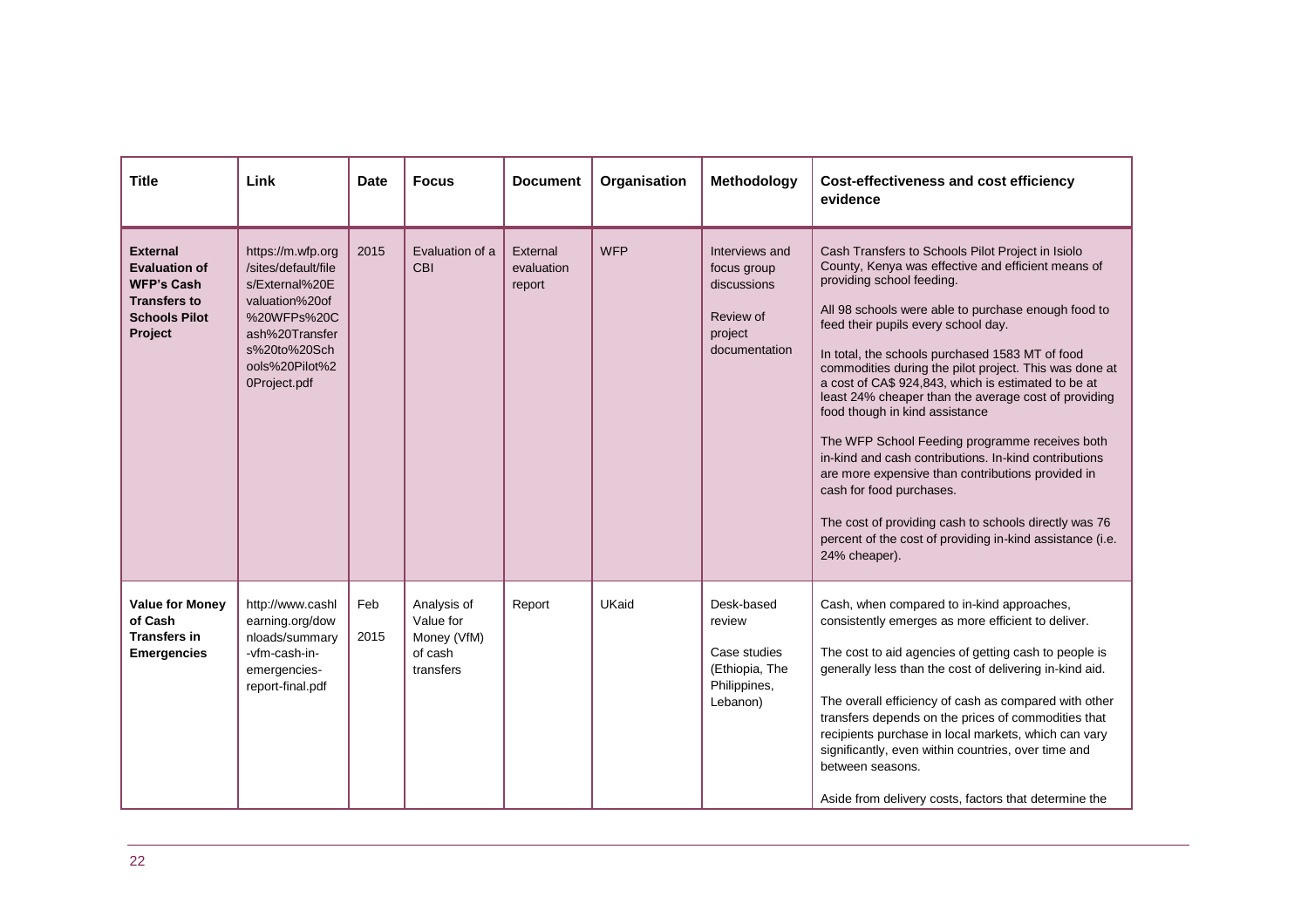| <b>Title</b>                                                                                                           | Link                                                                                                                                                            | <b>Date</b> | <b>Focus</b>                                                    | <b>Document</b>                  | Organisation | Methodology                                                                           | <b>Cost-effectiveness and cost efficiency</b><br>evidence                                                                                                                                                                                                                                                                                                                                                                                                                                                                                                                                                                                                                                                                                                                                                                           |
|------------------------------------------------------------------------------------------------------------------------|-----------------------------------------------------------------------------------------------------------------------------------------------------------------|-------------|-----------------------------------------------------------------|----------------------------------|--------------|---------------------------------------------------------------------------------------|-------------------------------------------------------------------------------------------------------------------------------------------------------------------------------------------------------------------------------------------------------------------------------------------------------------------------------------------------------------------------------------------------------------------------------------------------------------------------------------------------------------------------------------------------------------------------------------------------------------------------------------------------------------------------------------------------------------------------------------------------------------------------------------------------------------------------------------|
| <b>External</b><br><b>Evaluation of</b><br><b>WFP's Cash</b><br><b>Transfers to</b><br><b>Schools Pilot</b><br>Project | https://m.wfp.org<br>/sites/default/file<br>s/External%20E<br>valuation%20of<br>%20WFPs%20C<br>ash%20Transfer<br>s%20to%20Sch<br>ools%20Pilot%2<br>0Project.pdf | 2015        | Evaluation of a<br>CBI                                          | External<br>evaluation<br>report | <b>WFP</b>   | Interviews and<br>focus group<br>discussions<br>Review of<br>project<br>documentation | Cash Transfers to Schools Pilot Project in Isiolo<br>County, Kenya was effective and efficient means of<br>providing school feeding.<br>All 98 schools were able to purchase enough food to<br>feed their pupils every school day.<br>In total, the schools purchased 1583 MT of food<br>commodities during the pilot project. This was done at<br>a cost of CA\$ 924,843, which is estimated to be at<br>least 24% cheaper than the average cost of providing<br>food though in kind assistance<br>The WFP School Feeding programme receives both<br>in-kind and cash contributions. In-kind contributions<br>are more expensive than contributions provided in<br>cash for food purchases.<br>The cost of providing cash to schools directly was 76<br>percent of the cost of providing in-kind assistance (i.e.<br>24% cheaper). |
| <b>Value for Money</b><br>of Cash<br><b>Transfers in</b><br><b>Emergencies</b>                                         | http://www.cashl<br>earning.org/dow<br>nloads/summary<br>-vfm-cash-in-<br>emergencies-<br>report-final.pdf                                                      | Feb<br>2015 | Analysis of<br>Value for<br>Money (VfM)<br>of cash<br>transfers | Report                           | UKaid        | Desk-based<br>review<br>Case studies<br>(Ethiopia, The<br>Philippines,<br>Lebanon)    | Cash, when compared to in-kind approaches,<br>consistently emerges as more efficient to deliver.<br>The cost to aid agencies of getting cash to people is<br>generally less than the cost of delivering in-kind aid.<br>The overall efficiency of cash as compared with other<br>transfers depends on the prices of commodities that<br>recipients purchase in local markets, which can vary<br>significantly, even within countries, over time and<br>between seasons.<br>Aside from delivery costs, factors that determine the                                                                                                                                                                                                                                                                                                    |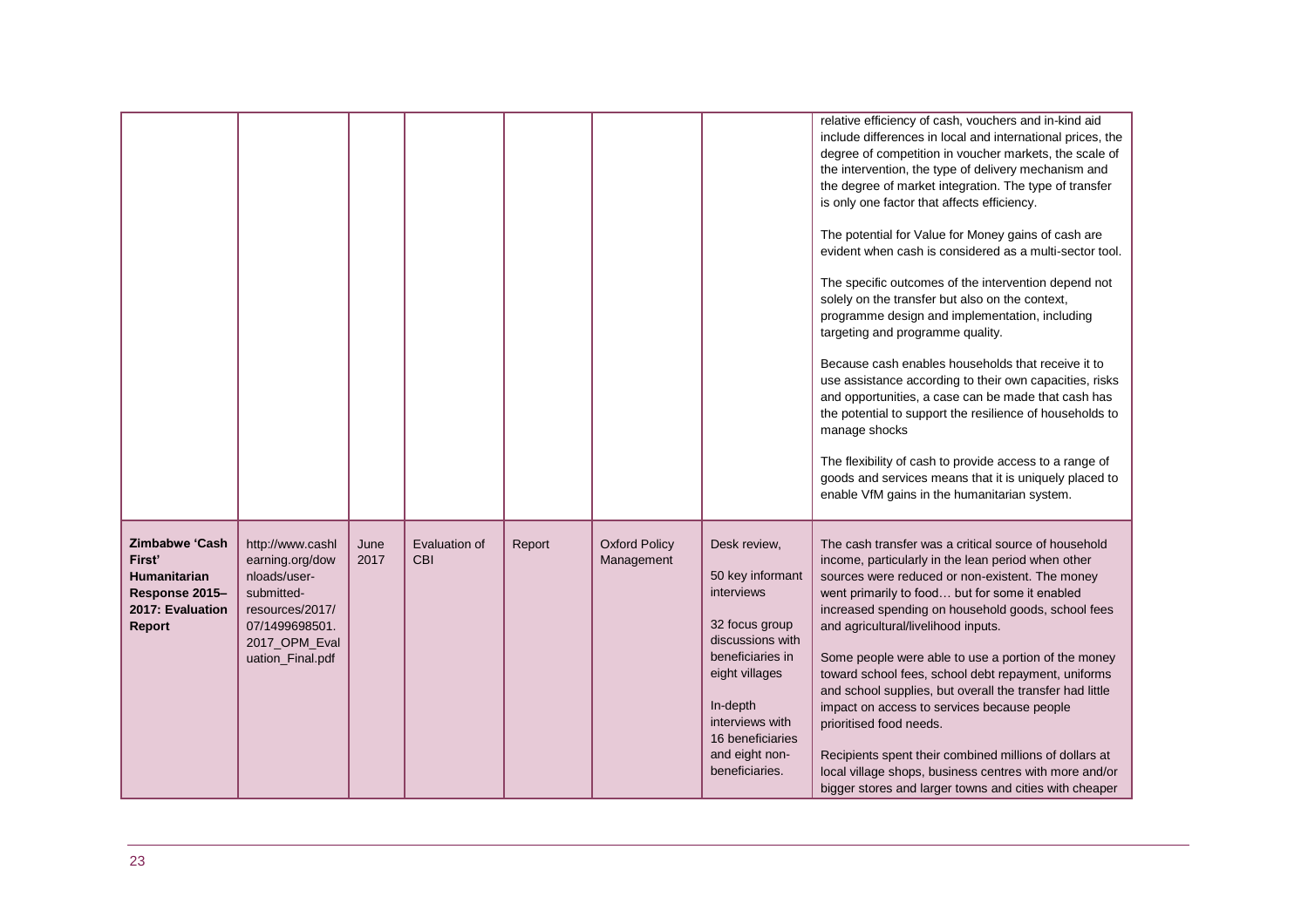|                                                                                          |                                                                                                                                             |              |                             |        |                                    |                                                                                                                                                                                                                   | relative efficiency of cash, vouchers and in-kind aid<br>include differences in local and international prices, the<br>degree of competition in voucher markets, the scale of<br>the intervention, the type of delivery mechanism and<br>the degree of market integration. The type of transfer<br>is only one factor that affects efficiency.<br>The potential for Value for Money gains of cash are<br>evident when cash is considered as a multi-sector tool.<br>The specific outcomes of the intervention depend not<br>solely on the transfer but also on the context,<br>programme design and implementation, including<br>targeting and programme quality.<br>Because cash enables households that receive it to<br>use assistance according to their own capacities, risks<br>and opportunities, a case can be made that cash has<br>the potential to support the resilience of households to<br>manage shocks<br>The flexibility of cash to provide access to a range of<br>goods and services means that it is uniquely placed to<br>enable VfM gains in the humanitarian system. |
|------------------------------------------------------------------------------------------|---------------------------------------------------------------------------------------------------------------------------------------------|--------------|-----------------------------|--------|------------------------------------|-------------------------------------------------------------------------------------------------------------------------------------------------------------------------------------------------------------------|---------------------------------------------------------------------------------------------------------------------------------------------------------------------------------------------------------------------------------------------------------------------------------------------------------------------------------------------------------------------------------------------------------------------------------------------------------------------------------------------------------------------------------------------------------------------------------------------------------------------------------------------------------------------------------------------------------------------------------------------------------------------------------------------------------------------------------------------------------------------------------------------------------------------------------------------------------------------------------------------------------------------------------------------------------------------------------------------|
| Zimbabwe 'Cash<br>First'<br>Humanitarian<br>Response 2015-<br>2017: Evaluation<br>Report | http://www.cashl<br>earning.org/dow<br>nloads/user-<br>submitted-<br>resources/2017/<br>07/1499698501.<br>2017_OPM_Eval<br>uation_Final.pdf | June<br>2017 | Evaluation of<br><b>CBI</b> | Report | <b>Oxford Policy</b><br>Management | Desk review,<br>50 key informant<br>interviews<br>32 focus group<br>discussions with<br>beneficiaries in<br>eight villages<br>In-depth<br>interviews with<br>16 beneficiaries<br>and eight non-<br>beneficiaries. | The cash transfer was a critical source of household<br>income, particularly in the lean period when other<br>sources were reduced or non-existent. The money<br>went primarily to food but for some it enabled<br>increased spending on household goods, school fees<br>and agricultural/livelihood inputs.<br>Some people were able to use a portion of the money<br>toward school fees, school debt repayment, uniforms<br>and school supplies, but overall the transfer had little<br>impact on access to services because people<br>prioritised food needs.<br>Recipients spent their combined millions of dollars at<br>local village shops, business centres with more and/or<br>bigger stores and larger towns and cities with cheaper                                                                                                                                                                                                                                                                                                                                              |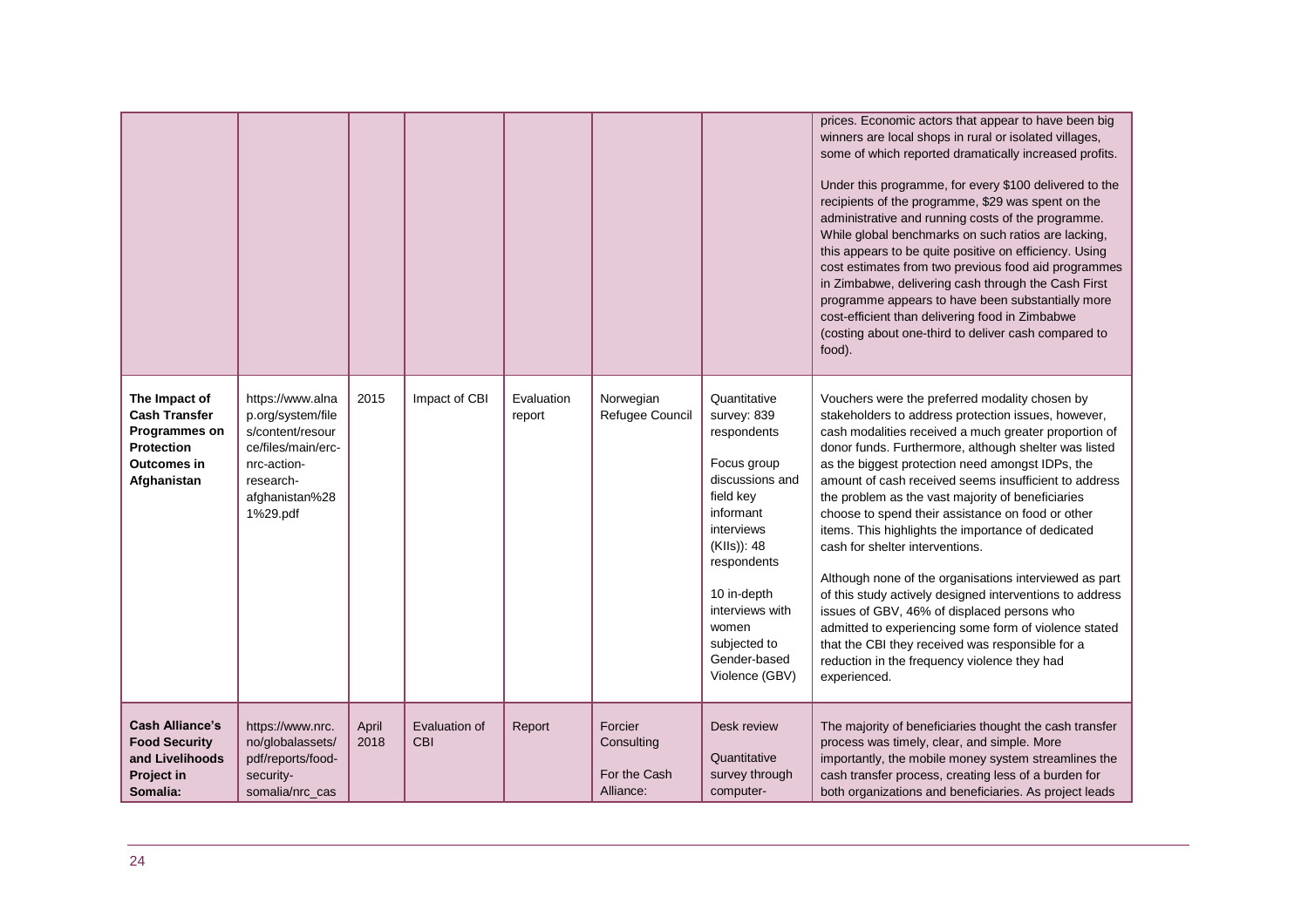|                                                                                                                  |                                                                                                                                           |               |                             |                      |                                                    |                                                                                                                                                                                                                                                 | prices. Economic actors that appear to have been big<br>winners are local shops in rural or isolated villages,<br>some of which reported dramatically increased profits.<br>Under this programme, for every \$100 delivered to the<br>recipients of the programme, \$29 was spent on the<br>administrative and running costs of the programme.<br>While global benchmarks on such ratios are lacking,<br>this appears to be quite positive on efficiency. Using<br>cost estimates from two previous food aid programmes<br>in Zimbabwe, delivering cash through the Cash First<br>programme appears to have been substantially more<br>cost-efficient than delivering food in Zimbabwe<br>(costing about one-third to deliver cash compared to<br>food).                                                                                                                                  |
|------------------------------------------------------------------------------------------------------------------|-------------------------------------------------------------------------------------------------------------------------------------------|---------------|-----------------------------|----------------------|----------------------------------------------------|-------------------------------------------------------------------------------------------------------------------------------------------------------------------------------------------------------------------------------------------------|-------------------------------------------------------------------------------------------------------------------------------------------------------------------------------------------------------------------------------------------------------------------------------------------------------------------------------------------------------------------------------------------------------------------------------------------------------------------------------------------------------------------------------------------------------------------------------------------------------------------------------------------------------------------------------------------------------------------------------------------------------------------------------------------------------------------------------------------------------------------------------------------|
| The Impact of<br><b>Cash Transfer</b><br>Programmes on<br><b>Protection</b><br><b>Outcomes in</b><br>Afghanistan | https://www.alna<br>p.org/system/file<br>s/content/resour<br>ce/files/main/erc-<br>nrc-action-<br>research-<br>afghanistan%28<br>1%29.pdf | 2015          | Impact of CBI               | Evaluation<br>report | Norwegian<br>Refugee Council                       | Quantitative<br>survey: 839<br>respondents<br>Focus group<br>discussions and<br>field key<br>informant<br>interviews<br>(KIIs)): 48<br>respondents<br>10 in-depth<br>interviews with<br>women<br>subjected to<br>Gender-based<br>Violence (GBV) | Vouchers were the preferred modality chosen by<br>stakeholders to address protection issues, however,<br>cash modalities received a much greater proportion of<br>donor funds. Furthermore, although shelter was listed<br>as the biggest protection need amongst IDPs, the<br>amount of cash received seems insufficient to address<br>the problem as the vast majority of beneficiaries<br>choose to spend their assistance on food or other<br>items. This highlights the importance of dedicated<br>cash for shelter interventions.<br>Although none of the organisations interviewed as part<br>of this study actively designed interventions to address<br>issues of GBV, 46% of displaced persons who<br>admitted to experiencing some form of violence stated<br>that the CBI they received was responsible for a<br>reduction in the frequency violence they had<br>experienced. |
| <b>Cash Alliance's</b><br><b>Food Security</b><br>and Livelihoods<br>Project in<br>Somalia:                      | https://www.nrc.<br>no/globalassets/<br>pdf/reports/food-<br>security-<br>somalia/nrc_cas                                                 | April<br>2018 | Evaluation of<br><b>CBI</b> | Report               | Forcier<br>Consulting<br>For the Cash<br>Alliance: | Desk review<br>Quantitative<br>survey through<br>computer-                                                                                                                                                                                      | The majority of beneficiaries thought the cash transfer<br>process was timely, clear, and simple. More<br>importantly, the mobile money system streamlines the<br>cash transfer process, creating less of a burden for<br>both organizations and beneficiaries. As project leads                                                                                                                                                                                                                                                                                                                                                                                                                                                                                                                                                                                                          |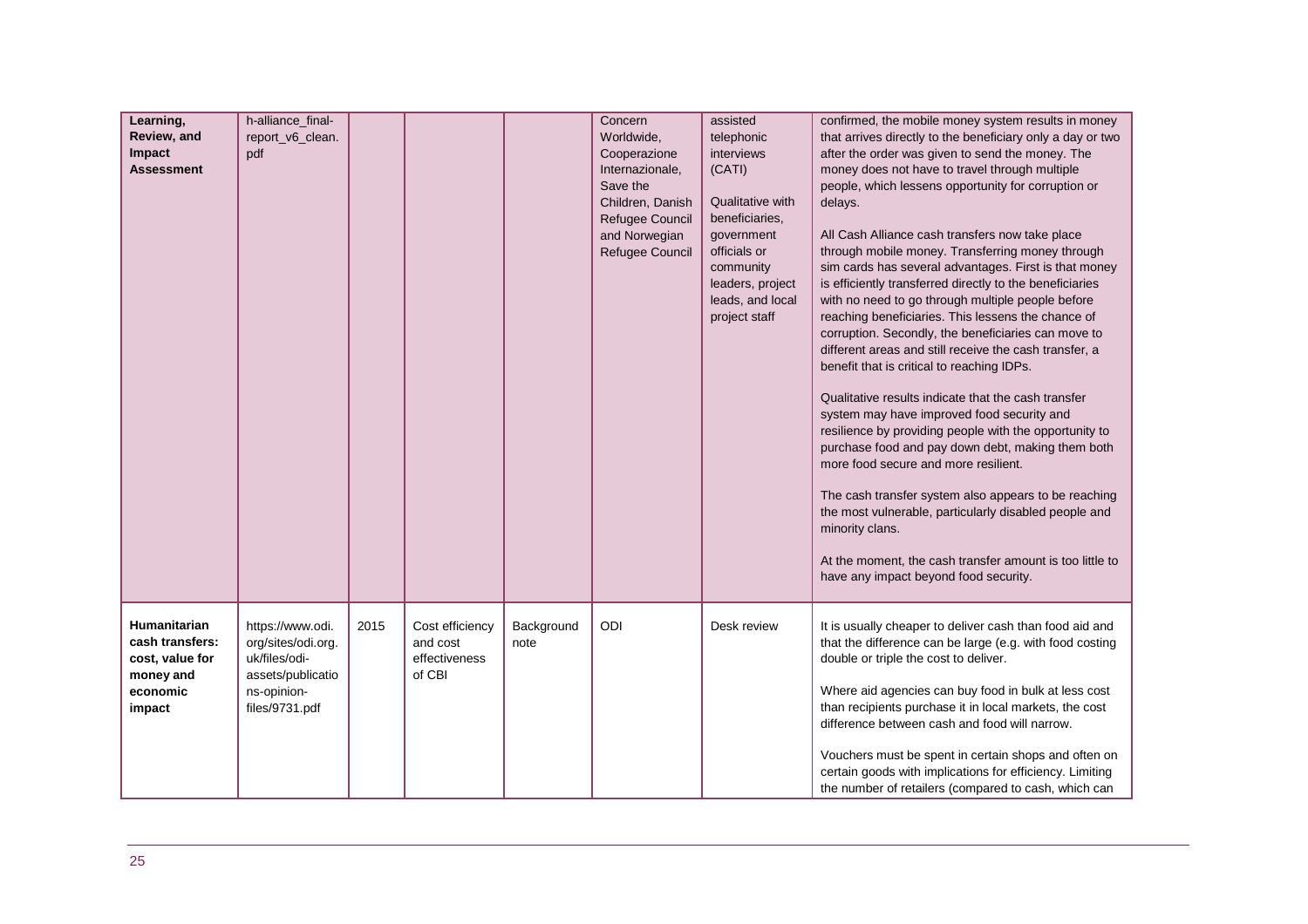| Learning,<br>Review, and<br>Impact<br><b>Assessment</b>                               | h-alliance_final-<br>report_v6_clean.<br>pdf                                                                  |      |                                                        |                    | Concern<br>Worldwide,<br>Cooperazione<br>Internazionale,<br>Save the<br>Children, Danish<br>Refugee Council<br>and Norwegian<br>Refugee Council | assisted<br>telephonic<br>interviews<br>(CATI)<br>Qualitative with<br>beneficiaries,<br>government<br>officials or<br>community<br>leaders, project<br>leads, and local<br>project staff | confirmed, the mobile money system results in money<br>that arrives directly to the beneficiary only a day or two<br>after the order was given to send the money. The<br>money does not have to travel through multiple<br>people, which lessens opportunity for corruption or<br>delays.<br>All Cash Alliance cash transfers now take place<br>through mobile money. Transferring money through<br>sim cards has several advantages. First is that money<br>is efficiently transferred directly to the beneficiaries<br>with no need to go through multiple people before<br>reaching beneficiaries. This lessens the chance of<br>corruption. Secondly, the beneficiaries can move to<br>different areas and still receive the cash transfer, a<br>benefit that is critical to reaching IDPs.<br>Qualitative results indicate that the cash transfer<br>system may have improved food security and<br>resilience by providing people with the opportunity to<br>purchase food and pay down debt, making them both<br>more food secure and more resilient.<br>The cash transfer system also appears to be reaching<br>the most vulnerable, particularly disabled people and<br>minority clans.<br>At the moment, the cash transfer amount is too little to<br>have any impact beyond food security. |
|---------------------------------------------------------------------------------------|---------------------------------------------------------------------------------------------------------------|------|--------------------------------------------------------|--------------------|-------------------------------------------------------------------------------------------------------------------------------------------------|------------------------------------------------------------------------------------------------------------------------------------------------------------------------------------------|------------------------------------------------------------------------------------------------------------------------------------------------------------------------------------------------------------------------------------------------------------------------------------------------------------------------------------------------------------------------------------------------------------------------------------------------------------------------------------------------------------------------------------------------------------------------------------------------------------------------------------------------------------------------------------------------------------------------------------------------------------------------------------------------------------------------------------------------------------------------------------------------------------------------------------------------------------------------------------------------------------------------------------------------------------------------------------------------------------------------------------------------------------------------------------------------------------------------------------------------------------------------------------------------------|
| Humanitarian<br>cash transfers:<br>cost, value for<br>money and<br>economic<br>impact | https://www.odi.<br>org/sites/odi.org.<br>uk/files/odi-<br>assets/publicatio<br>ns-opinion-<br>files/9731.pdf | 2015 | Cost efficiency<br>and cost<br>effectiveness<br>of CBI | Background<br>note | ODI                                                                                                                                             | Desk review                                                                                                                                                                              | It is usually cheaper to deliver cash than food aid and<br>that the difference can be large (e.g. with food costing<br>double or triple the cost to deliver.<br>Where aid agencies can buy food in bulk at less cost<br>than recipients purchase it in local markets, the cost<br>difference between cash and food will narrow.<br>Vouchers must be spent in certain shops and often on<br>certain goods with implications for efficiency. Limiting<br>the number of retailers (compared to cash, which can                                                                                                                                                                                                                                                                                                                                                                                                                                                                                                                                                                                                                                                                                                                                                                                          |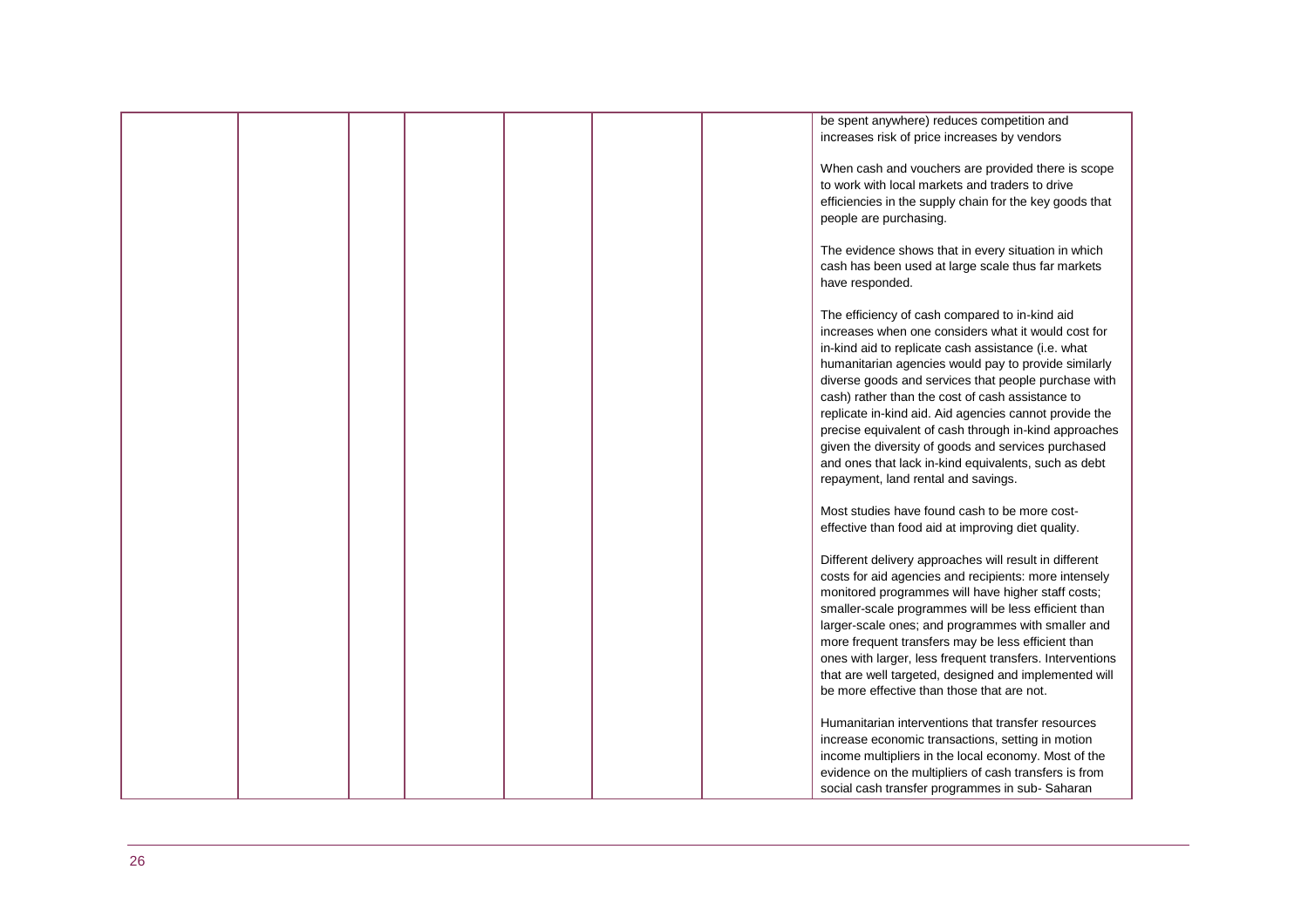|  |  |  | be spent anywhere) reduces competition and               |
|--|--|--|----------------------------------------------------------|
|  |  |  | increases risk of price increases by vendors             |
|  |  |  |                                                          |
|  |  |  |                                                          |
|  |  |  | When cash and vouchers are provided there is scope       |
|  |  |  | to work with local markets and traders to drive          |
|  |  |  | efficiencies in the supply chain for the key goods that  |
|  |  |  | people are purchasing.                                   |
|  |  |  |                                                          |
|  |  |  |                                                          |
|  |  |  | The evidence shows that in every situation in which      |
|  |  |  | cash has been used at large scale thus far markets       |
|  |  |  | have responded.                                          |
|  |  |  |                                                          |
|  |  |  |                                                          |
|  |  |  | The efficiency of cash compared to in-kind aid           |
|  |  |  | increases when one considers what it would cost for      |
|  |  |  | in-kind aid to replicate cash assistance (i.e. what      |
|  |  |  | humanitarian agencies would pay to provide similarly     |
|  |  |  | diverse goods and services that people purchase with     |
|  |  |  |                                                          |
|  |  |  | cash) rather than the cost of cash assistance to         |
|  |  |  | replicate in-kind aid. Aid agencies cannot provide the   |
|  |  |  | precise equivalent of cash through in-kind approaches    |
|  |  |  | given the diversity of goods and services purchased      |
|  |  |  |                                                          |
|  |  |  | and ones that lack in-kind equivalents, such as debt     |
|  |  |  | repayment, land rental and savings.                      |
|  |  |  |                                                          |
|  |  |  | Most studies have found cash to be more cost-            |
|  |  |  | effective than food aid at improving diet quality.       |
|  |  |  |                                                          |
|  |  |  |                                                          |
|  |  |  | Different delivery approaches will result in different   |
|  |  |  | costs for aid agencies and recipients: more intensely    |
|  |  |  | monitored programmes will have higher staff costs;       |
|  |  |  | smaller-scale programmes will be less efficient than     |
|  |  |  |                                                          |
|  |  |  | larger-scale ones; and programmes with smaller and       |
|  |  |  | more frequent transfers may be less efficient than       |
|  |  |  | ones with larger, less frequent transfers. Interventions |
|  |  |  | that are well targeted, designed and implemented will    |
|  |  |  | be more effective than those that are not.               |
|  |  |  |                                                          |
|  |  |  |                                                          |
|  |  |  | Humanitarian interventions that transfer resources       |
|  |  |  | increase economic transactions, setting in motion        |
|  |  |  | income multipliers in the local economy. Most of the     |
|  |  |  | evidence on the multipliers of cash transfers is from    |
|  |  |  |                                                          |
|  |  |  | social cash transfer programmes in sub-Saharan           |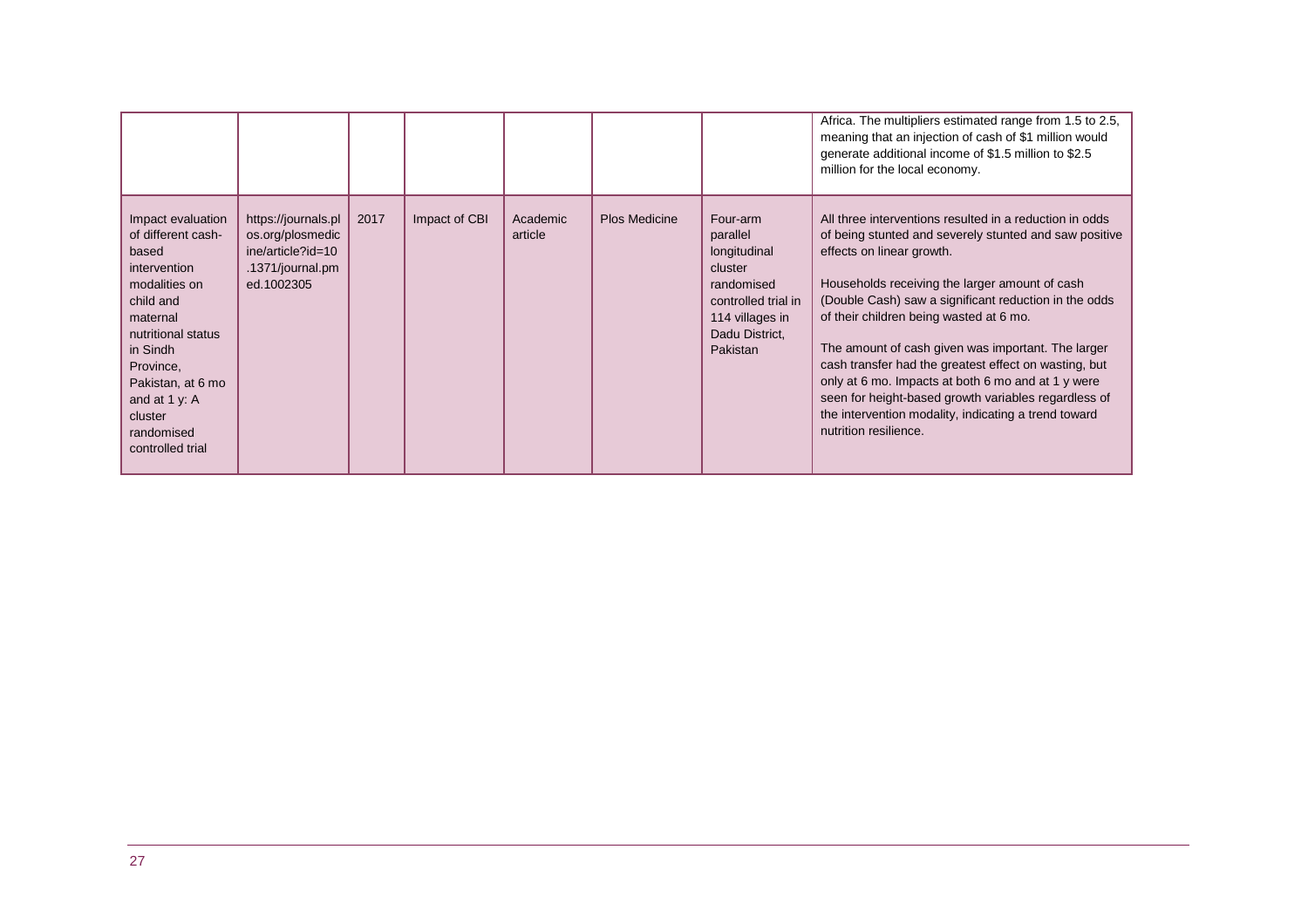|                                                                                                                                                                                                                                              |                                                                                                |      |               |                     |                      |                                                                                                                                       | Africa. The multipliers estimated range from 1.5 to 2.5,<br>meaning that an injection of cash of \$1 million would<br>generate additional income of \$1.5 million to \$2.5<br>million for the local economy.                                                                                                                                                                                                                                                                                                                                                                                                       |
|----------------------------------------------------------------------------------------------------------------------------------------------------------------------------------------------------------------------------------------------|------------------------------------------------------------------------------------------------|------|---------------|---------------------|----------------------|---------------------------------------------------------------------------------------------------------------------------------------|--------------------------------------------------------------------------------------------------------------------------------------------------------------------------------------------------------------------------------------------------------------------------------------------------------------------------------------------------------------------------------------------------------------------------------------------------------------------------------------------------------------------------------------------------------------------------------------------------------------------|
| Impact evaluation<br>of different cash-<br>based<br>intervention<br>modalities on<br>child and<br>maternal<br>nutritional status<br>in Sindh<br>Province,<br>Pakistan, at 6 mo<br>and at 1 y: A<br>cluster<br>randomised<br>controlled trial | https://journals.pl<br>os.org/plosmedic<br>ine/article?id=10<br>.1371/journal.pm<br>ed.1002305 | 2017 | Impact of CBI | Academic<br>article | <b>Plos Medicine</b> | Four-arm<br>parallel<br>longitudinal<br>cluster<br>randomised<br>controlled trial in<br>114 villages in<br>Dadu District,<br>Pakistan | All three interventions resulted in a reduction in odds<br>of being stunted and severely stunted and saw positive<br>effects on linear growth.<br>Households receiving the larger amount of cash<br>(Double Cash) saw a significant reduction in the odds<br>of their children being wasted at 6 mo.<br>The amount of cash given was important. The larger<br>cash transfer had the greatest effect on wasting, but<br>only at 6 mo. Impacts at both 6 mo and at 1 y were<br>seen for height-based growth variables regardless of<br>the intervention modality, indicating a trend toward<br>nutrition resilience. |